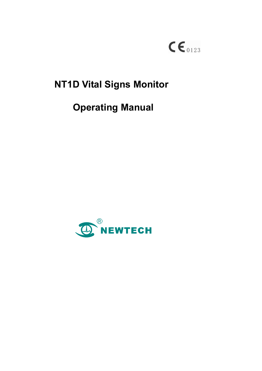

# **NT1D Vital Signs Monitor**

# **Operating Manual**

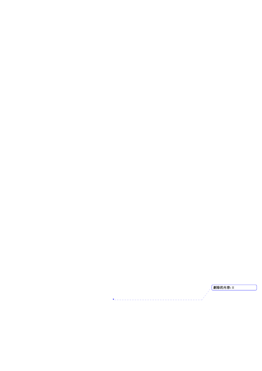删除的内容**:** II

<u> 222222222</u>

 $\nabla = -$ 

<u>. . . . . . . . . . .</u>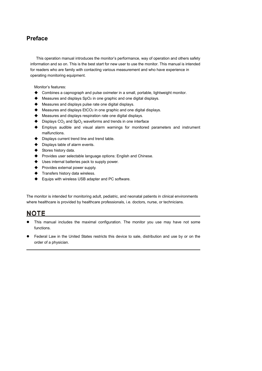## **Preface**

This operation manual introduces the monitor's performance, way of operation and others safety information and so on. This is the best start for new user to use the monitor. This manual is intended for readers who are family with contacting various measurement and who have experience in operating monitoring equipment.

Monitor's features:

- Combines a capnograph and pulse oximeter in a small, portable, lightweight monitor.
- $\blacklozenge$  Measures and displays SpO<sub>2</sub> in one graphic and one digital displays.
- ◆ Measures and displays pulse rate one digital displays.
- $\blacklozenge$  Measures and displays EtCO<sub>2</sub> in one graphic and one digital displays.
- Measures and displays respiration rate one digital displays.
- $\blacklozenge$  Displays CO<sub>2</sub> and SpO<sub>2</sub> waveforms and trends in one interface
- Employs audible and visual alarm warnings for monitored parameters and instrument malfunctions.
- ◆ Displays current trend line and trend table.
- ◆ Displays table of alarm events.
- ◆ Stores history data.
- Provides user selectable language options: English and Chinese.
- ◆ Uses internal batteries pack to supply power.
- ◆ Provides external power supply.
- **Transfers history data wireless.**
- ◆ Equips with wireless USB adapter and PC software.

The monitor is intended for monitoring adult, pediatric, and neonatal patients in clinical environments where healthcare is provided by healthcare professionals, i.e. doctors, nurse, or technicians.

## **NOTE**

ı

- This manual includes the maximal configuration. The monitor you use may have not some functions.
- Federal Law in the United States restricts this device to sale, distribution and use by or on the order of a physician.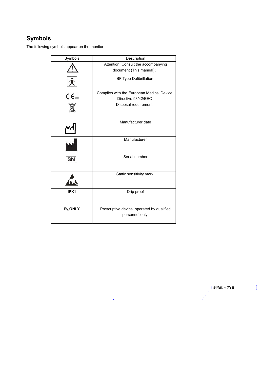## **Symbols**

The following symbols appear on the monitor:

| Symbols      | Description                                                   |
|--------------|---------------------------------------------------------------|
|              | Attention! Consult the accompanying                           |
|              | document (This manual))                                       |
|              | <b>BF Type Defibrillation</b>                                 |
| $C \epsilon$ | Complies with the European Medical Device                     |
|              | Directive 93/42/EEC                                           |
|              | Disposal requirement                                          |
|              | Manufacturer date                                             |
|              | Manufacturer                                                  |
| SN           | Serial number                                                 |
|              | Static sensitivity mark!                                      |
| IPX1         | Drip proof                                                    |
| $R_X$ ONLY   | Prescriptive device, operated by qualified<br>personnel only! |

删除的内容**:** II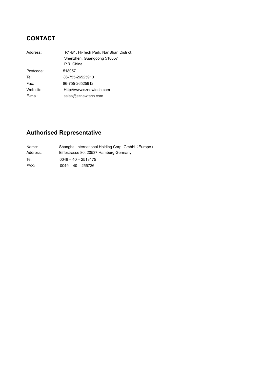## **CONTACT**

| Address:  | R1-B1, Hi-Tech Park, NanShan District, |
|-----------|----------------------------------------|
|           | Shenzhen, Guangdong 518057             |
|           | P.R. China                             |
| Postcode: | 518057                                 |
| Tel:      | 86-755-26525910                        |
| Fax:      | 86-755-26525912                        |
| Web cite: | Http://www.sznewtech.com               |
| E-mail:   | sales@sznewtech.com                    |
|           |                                        |

## **Authorised Representative**

| Name:    | Shanghai International Holding Corp. GmbH (Europe) |
|----------|----------------------------------------------------|
| Address: | Eiffestrasse 80, 20537 Hamburg Germany             |
| Tel:     | $0049 - 40 - 2513175$                              |
| FAX:     | $0049 - 40 - 255726$                               |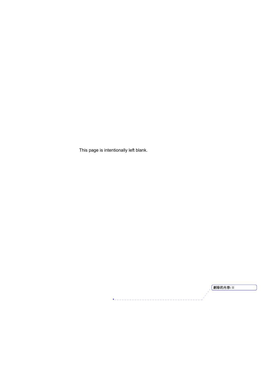This page is intentionally left blank.

 $\mathbf{v}$ 

 $\frac{1}{2}$  . <br>  $\frac{1}{2}$  . <br>  $\frac{1}{2}$  . <br>  $\frac{1}{2}$  . <br>  $\frac{1}{2}$  . <br><br><br><br><br><br><br><br><br><br><br><br><br><br>

删除的内容**:** II

<u>Lista List</u>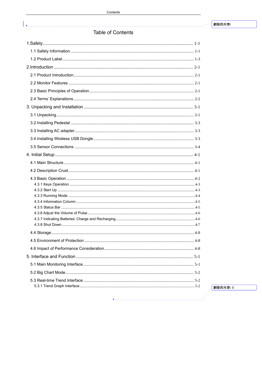## **Table of Contents**

/ 删除的内容: II

 $\mathcal{L}^{\mathcal{L}}\mathcal{L}^{\mathcal{L}}\mathcal{L}^{\mathcal{L}}\mathcal{L}^{\mathcal{L}}\mathcal{L}^{\mathcal{L}}$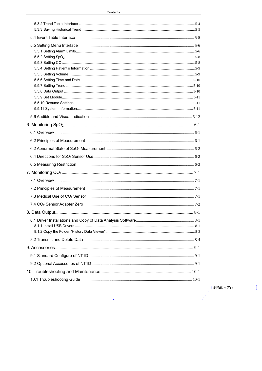$\overline{\mathbf{v}} = \mathbf{v} = \mathbf{v} = \mathbf{v} = \mathbf{v} = \mathbf{v}$ 

 $\overline{a}$  $\overline{a}$  $\overline{a}$ 

 $\begin{array}{cccccccccc} \bot & \bot & \bot & \bot & \bot & \bot \end{array}$ 

/删除的内容: v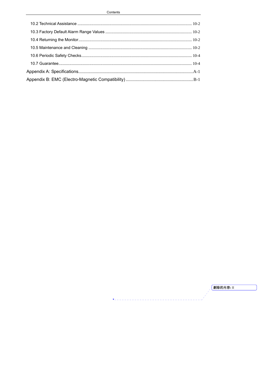$\mathbf{v} = \mathbf{v} = \mathbf{v} = \mathbf{v} = \mathbf{v} = \mathbf{v} = \mathbf{v}$ 

 $\begin{array}{cccccccccc} \bot & \bot & \bot & \bot & \bot & \bot & \bot \end{array}$ 

/删除的内容: II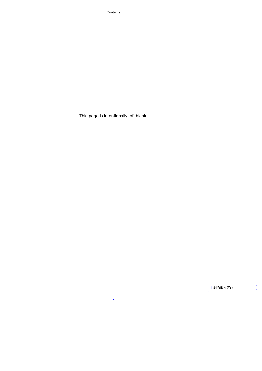This page is intentionally left blank.

删除的内容**:** v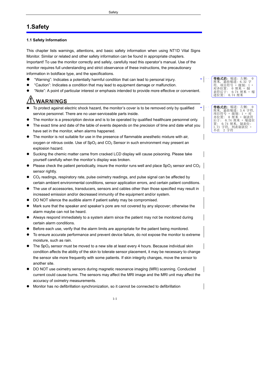### **1.Safety**

#### **1.1 Safety Information**

This chapter lists warnings, attentions, and basic safety information when using NT1D Vital Signs Monitor. Similar or related and other safety information can be found in appropriate chapters. Important! To use the monitor correctly and safely, carefully read this operator's manual. Use of the monitor requires full understanding and strict observance of these instructions, the precautionary information in boldface type, and the specifications.

- "Warning": Indicates a potentially harmful condition that can lead to personal injury.
- "Caution": Indicates a condition that may lead to equipment damage or malfunction.
- "Note": A point of particular interest or emphasis intended to provide more effective or convenient.

## **WARNINGS**

- To protect against electric shock hazard, the monitor's cover is to be removed only by qualified service personnel. There are no user-serviceable parts inside.
- The monitor is a prescription device and is to be operated by qualified healthcare personnel only.
- The exact time and date of the table of events depends on the precision of time and date what you have set in the monitor, when alarms happened.
- The monitor is not suitable for use in the presence of flammable anesthetic mixture with air, oxygen or nitrous oxide. Use of  $SpO<sub>2</sub>$  and  $CO<sub>2</sub>$  Sensor in such environment may present an explosion hazard.
- Sucking the chemic matter came from cracked LCD display will cause poisoning. Please take yourself carefully when the monitor's display was broken.
- Please check the patient periodically, insure the monitor runs well and place  $SpO<sub>2</sub>$  sensor and  $CO<sub>2</sub>$ sensor rightly.
- $CO<sub>2</sub>$  readings, respiratory rate, pulse oximetry readings, and pulse signal can be affected by certain ambient environmental conditions, sensor application errors, and certain patient conditions.
- The use of accessories, transducers, sensors and cables other than those specified may result in increased emission and/or decreased immunity of the equipment and/or system.
- DO NOT silence the audible alarm if patient safety may be compromised.
- Mark sure that the speaker and speaker's pore are not covered by any slipcover; otherwise the alarm maybe can not be heard.
- Always respond immediately to a system alarm since the patient may not be monitored during certain alarm conditions.
- Before each use, verify that the alarm limits are appropriate for the patient being monitored.
- To ensure accurate performance and prevent device failure, do not expose the monitor to extreme moisture, such as rain.
- The SpO<sub>2</sub> sensor must be moved to a new site at least every 4 hours. Because individual skin condition affects the ability of the skin to tolerate sensor placement, it may be necessary to change the sensor site more frequently with some patients. If skin integrity changes, move the sensor to another site.
- DO NOT use oximetry sensors during magnetic resonance imaging (MRI) scanning. Conducted current could cause burns. The sensors may affect the MRI image and the MRI unit may affect the accuracy of oximetry measurements.
- Monitor has no defibrillation synchronization, so it cannot be connected to defibrillation



**带格式的:** 缩进: 左侧: 0<br>厘米, 悬挂缩进: 3.6 字符,<br>项目符号 + 级别: 1 + 对 齐位置: 0 厘米 + 制表符 后于: 0.74 厘米 + 缩进位 5、位置: 0.74 厘米 + 制表<br>齐子: 0.74 厘米 + 缩进<br>置: 0.74 厘米, 制表位:<br>1.71 字符, 列表制表位 + 1.71 字符, 列表制表位 + 不在 2 字符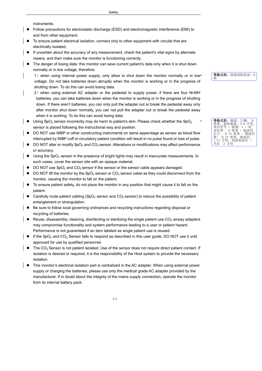instruments.

- Follow precautions for electrostatic discharge (ESD) and electromagnetic interference (EMI) to and from other equipment.
- To ensure patient electrical isolation, connect only to other equipment with circuits that are electrically isolated.
- If uncertain about the accuracy of any measurement, check the patient's vital signs by alternate means, and then make sure the monitor is functioning correctly.
- The danger of losing data: this monitor can save current patient's data only when it is shut down normally or in low voltage, therefore:
	- 1) when using internal power supply, only allow to shut down the monitor normally or in low<sup>4</sup> voltage. Do not take batteries down abruptly when the monitor is working or in the progress of shutting down. To do this can avoid losing data.
	- 2)when using external AC adapter or the pedestal to supply power, if there are four Ni-MH batteries, you can take batteries down when the monitor is working or in the progress of shutting down. If there aren't batteries, you can only pull the adapter out or break the pedestal away only after monitor shut down normally, you can not pull the adapter out or break the pedestal away when it is working. To do this can avoid losing data.
- Using SpO<sub>2</sub> sensor incorrectly may do harm to patient's skin. Please check whether the SpO<sub>2</sub> sensor is placed following the instructional way and position.
- DO NOT use NIBP or other constructing instruments on same appendage as sensor as blood flow interrupted by NIBP cuff or circulatory patient condition will result in no pulse found or loss of pulse.
- $\bullet$  DO NOT alter or modify SpO<sub>2</sub> and CO<sub>2</sub> sensor. Alterations or modifications may affect performance or accuracy.
- $\bullet$  Using the SpO<sub>2</sub> sensor in the presence of bright lights may result in inaccurate measurements. In such cases, cover the sensor site with an opaque material.
- $\bullet$  DO NOT use SpO<sub>2</sub> and CO<sub>2</sub> sensor if the sensor or the sensor cable appears damaged.
- DO NOT lift the monitor by the SpO<sub>2</sub> sensor or  $CO_2$  sensor cable as they could disconnect from the monitor, causing the monitor to fall on the patient.
- To ensure patient safety, do not place the monitor in any position that might cause it to fall on the patient.
- Carefully route patient cabling  $(SpO<sub>2</sub>$  sensor and  $CO<sub>2</sub>$  sensor) to reduce the possibility of patient entanglement or strangulation.
- Be sure to follow local governing ordinances and recycling instructions regarding disposal or recycling of batteries.
- Reuse, disassembly, cleaning, disinfecting or sterilizing the single patient use CO<sub>2</sub> airway adapters may compromise functionality and system performance leading to a user or patient hazard. Performance is not guaranteed if an item labeled as single patient use is reused.
- $\bullet$  If the SpO<sub>2</sub> and CO<sub>2</sub> Sensor fails to respond as described in this user guide; DO NOT use it until approved for use by qualified personnel.
- $\bullet$  The CO<sub>2</sub> Sensor is not patient isolated. Use of the sensor does not require direct patient contact. If isolation is desired or required, it is the responsibility of the Host system to provide the necessary isolation.
- This monitor's electrical isolation part is centralized in the AC adapter. When using external power supply or charging the batteries, please use only the medical grade AC adapter provided by the manufacturer. If in doubt about the integrity of the mains supply connection, operate the monitor from its internal battery pack.

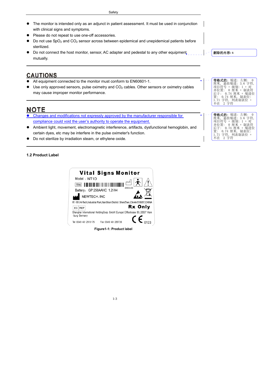• The monitor is intended only as an adjunct in patient assessment. It must be used in conjunction with clinical signs and symptoms. Please do not repeat to use one-off accessories. Do not use SpO<sub>2</sub> and CO<sub>2</sub> sensor across between epidemical and unepidemical patients before sterilized. Do not connect the host monitor, sensor, AC adapter and pedestal to any other equipment mutually.  $\overline{a}$ **CAUTIONS** All equipment connected to the monitor must conform to EN60601-1. Use only approved sensors, pulse oximetry and  $CO<sub>2</sub>$  cables. Other sensors or oximetry cables may cause improper monitor performance. **带格式的:** 缩进: 左侧: 0<br>厘米, 悬挂缩进: 3.6 字符, 中六节: 3.5<br>厘米, 悬挂缩进:<br>项目符号 + 级别 项目符号 + 级别: 1 + 对 齐位置: 0 厘米 + 制表符 后于: 0.74 厘米 + 缩进位 置: 0.74 厘米, 制表位: 1.71 字符, 列表制表位 + 不在 2 字符 删除的内容**:** s

**带格式的:** 缩进: 左侧: 0<br>厘米, 悬挂缩进: 3.6 字符,

厘米, 悬挂缩进: 3.6 字符,<br>项目符号 + 级别: 1 + 对付<br>齐位置: 0.74 厘米 + 制表位:<br>后于: 0.74 厘米, 制表位: +<br>置: 0.74 厘米, 制表位: +

后<br>置: 0.7<del>1</del><br>1.71 字符, 列<br>下在 <u>2 字符</u>

## **NOTE**

l

ı

- Changes and modifications not expressly approved by the manufacturer responsible for compliance could void the user's authority to operate the equipment.
- Ambient light, movement, electromagnetic interference, artifacts, dysfunctional hemoglobin, and certain dyes, etc may be interfere in the pulse oximeter's function.
- Do not sterilize by irradiation steam, or ethylene oxide.

1-3

#### **1.2 Product Label**



**Figure1-1: Product label**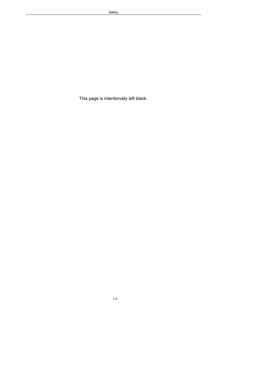This page is intentionally left blank.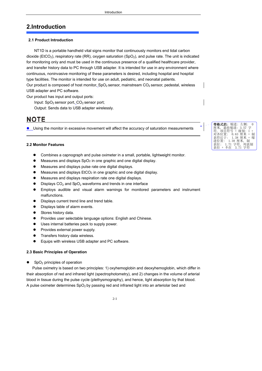## **2.Introduction**

#### **2.1 Product Introduction**

NT1D is a portable handheld vital signs monitor that continuously monitors end tidal carbon dioxide (EtCO<sub>2</sub>), respiratory rate (RR), oxygen saturation (SpO<sub>2</sub>), and pulse rate. The unit is indicated for monitoring only and must be used in the continuous presence of a qualified healthcare provider, and transfer history data to PC through USB adapter. It is intended for use in any environment where continuous, noninvasive monitoring of these parameters is desired, including hospital and hospital type facilities. The monitor is intended for use on adult, pediatric, and neonatal patients. Our product is composed of host monitor,  $SpO<sub>2</sub>$  sensor, mainstream  $CO<sub>2</sub>$  sensor, pedestal, wireless USB adapter and PC software.

Our product has input and output ports: Input: SpO<sub>2</sub> sensor port, CO<sub>2</sub> sensor port; Output: Sends data to USB adapter wirelessly.

## **NOTE**

ı

 $\bullet$  Using the monitor in excessive movement will affect the accuracy of saturation measurements

#### **2.2 Monitor Features**

- Combines a capnograph and pulse oximeter in a small, portable, lightweight monitor.
- Measures and displays SpO<sub>2</sub> in one graphic and one digital display.
- Measures and displays pulse rate one digital displays.
- $\bullet$  Measures and displays EtCO<sub>2</sub> in one graphic and one digital display.
- $\bullet$  Measures and displays respiration rate one digital displays.
- Displays  $CO<sub>2</sub>$  and SpO<sub>2</sub> waveforms and trends in one interface
- $\bullet$  Employs audible and visual alarm warnings for monitored parameters and instrument malfunctions.
- Displays current trend line and trend table.
- Displays table of alarm events.
- Stores history data.
- Provides user selectable language options: English and Chinese.
- $\bullet$  Uses internal batteries pack to supply power.
- $\bullet$  Provides external power supply.
- Transfers history data wireless.
- Equips with wireless USB adapter and PC software.

#### **2.3 Basic Principles of Operation**

 $SpO<sub>2</sub>$  principles of operation

Pulse oximetry is based on two principles: 1) oxyhemoglobin and deoxyhemoglobin, which differ in their absorption of red and infrared light (spectrophotometry), and 2) changes in the volume of arterial blood in tissue during the pulse cycle (plethysmography), and hence, light absorption by that blood. A pulse oximeter determines  $SpO<sub>2</sub>$  by passing red and infrared light into an arteriolar bed and

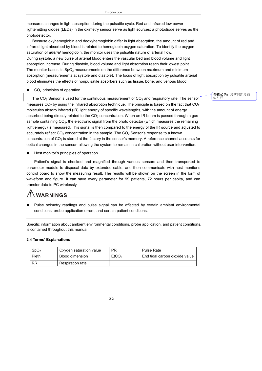measures changes in light absorption during the pulsatile cycle. Red and infrared low power lightemitting diodes (LEDs) in the oximetry sensor serve as light sources; a photodiode serves as the photodetector.

Because oxyhemoglobin and deoxyhemoglobin differ in light absorption, the amount of red and infrared light absorbed by blood is related to hemoglobin oxygen saturation. To identify the oxygen saturation of *arterial* hemoglobin, the monitor uses the pulsatile nature of arterial flow. During systole, a new pulse of arterial blood enters the vascular bed and blood volume and light absorption increase. During diastole, blood volume and light absorption reach their lowest point. The monitor bases its  $SpO<sub>2</sub>$  measurements on the difference between maximum and minimum absorption (measurements at systole and diastole). The focus of light absorption by pulsatile arterial blood eliminates the effects of nonpulsatile absorbers such as tissue, bone, and venous blood.

CO<sub>2</sub> principles of operation

The  $CO<sub>2</sub>$  Sensor is used for the continuous measurement of  $CO<sub>2</sub>$  and respiratory rate. The sensor measures  $CO<sub>2</sub>$  by using the infrared absorption technique. The principle is based on the fact that  $CO<sub>2</sub>$ molecules absorb infrared (IR) light energy of specific wavelengths, with the amount of energy absorbed being directly related to the  $CO<sub>2</sub>$  concentration. When an IR beam is passed through a gas sample containing CO<sub>2</sub>, the electronic signal from the photo detector (which measures the remaining light energy) is measured. This signal is then compared to the energy of the IR source and adjusted to accurately reflect  $CO<sub>2</sub>$  concentration in the sample. The  $CO<sub>2</sub>$  Sensor's response to a known concentration of  $CO<sub>2</sub>$  is stored at the factory in the sensor's memory. A reference channel accounts for optical changes in the sensor, allowing the system to remain in calibration without user intervention.

Host monitor's principles of operation

Patient's signal is checked and magnified through various sensors and then transported to parameter module to disposal data by extended cable, and then communicate with host monitor's control board to show the measuring result. The results will be shown on the screen in the form of waveform and figure. It can save every parameter for 99 patients, 72 hours per capita, and can transfer data to PC wirelessly.

## **WARNINGS**

l

Pulse oximetry readings and pulse signal can be affected by certain ambient environmental conditions, probe application errors, and certain patient conditions.

Specific information about ambient environmental conditions, probe application, and patient conditions, is contained throughout this manual.

#### **2.4 Terms' Explanations**

| SpO <sub>2</sub> | Oxygen saturation value | PR                | Pulse Rate                     |
|------------------|-------------------------|-------------------|--------------------------------|
| Pleth            | <b>Blood dimension</b>  | EtCO <sub>2</sub> | End tidal carbon dioxide value |
| <b>RR</b>        | Respiration rate        |                   |                                |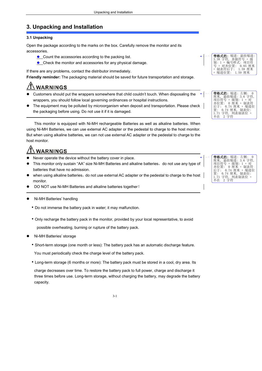### **3. Unpacking and Installation**

#### **3.1 Unpacking**

Open the package according to the marks on the box. Carefully remove the monitor and its accessories.

- $\bullet$  Count the accessories according to the packing list.
- **.** Check the monitor and accessories for any physical damage.

If there are any problems, contact the distributor immediately.

**Friendly reminder:** The packaging material should be saved for future transportation and storage.

## **WARNINGS**

- Customers should put the wrappers somewhere that child couldn't touch. When disposaling the wrappers, you should follow local governing ordinances or hospital instructions.
- The equipment may be polluted by microorganism when deposit and transportation. Please check the packaging before using. Do not use it if it is damaged. ı

This monitor is equipped with Ni-MH rechargeable Batteries as well as alkaline batteries. When using Ni-MH Batteries, we can use external AC adapter or the pedestal to charge to the host monitor. But when using alkaline batteries, we can not use external AC adapter or the pedestal to charge to the host monitor.

## **WARNINGS**

- Never operate the device without the battery cover in place.
- This monitor only sustain "AA" size Ni-MH Batteries and alkaline batteries, do not use any type of batteries that have no admission.
- when using alkaline batteries, do not use external AC adapter or the pedestal to charge to the host monitor.
- DO NOT use Ni-MH Batteries and alkaline batteries together! ı
- Ni-MH Batteries' handling
	- Do not immerse the battery pack in water; it may malfunction.
	- Only recharge the battery pack in the monitor, provided by your local representative, to avoid

possible overheating, burning or rupture of the battery pack.

- Ni-MH Batteries' storage
	- Short-term storage (one month or less): The battery pack has an automatic discharge feature.

You must periodically check the charge level of the battery pack.

• Long-term storage (6 months or more): The battery pack must be stored in a cool, dry area. Its

charge decreases over time. To restore the battery pack to full power, charge and discharge it three times before use. Long-term storage, without charging the battery, may degrade the battery capacity.







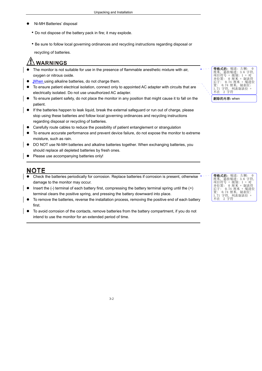- Ni-MH Batteries' disposal
	- Do not dispose of the battery pack in fire; it may explode.
	- Be sure to follow local governing ordinances and recycling instructions regarding disposal or

recycling of batteries.

## **WARNINGS**

- The monitor is not suitable for use in the presence of flammable anesthetic mixture with air, oxygen or nitrous oxide.
- When using alkaline batteries, do not charge them.
- To ensure patient electrical isolation, connect only to appointed AC adapter with circuits that are electrically isolated. Do not use unauthorized AC adapter.
- To ensure patient safety, do not place the monitor in any position that might cause it to fall on the patient.
- If the batteries happen to leak liquid, break the external safeguard or run out of charge, please stop using these batteries and follow local governing ordinances and recycling instructions regarding disposal or recycling of batteries.
- Carefully route cables to reduce the possibility of patient entanglement or strangulation
- To ensure accurate performance and prevent device failure, do not expose the monitor to extreme moisture, such as rain.
- DO NOT use Ni-MH batteries and alkaline batteries together. When exchanging batteries, you should replace all depleted batteries by fresh ones.
- Please use accompanying batteries only! ı

## **NOTE**

ı

- Check the batteries periodically for corrosion. Replace batteries if corrosion is present, otherwise damage to the monitor may occur.
- Insert the  $(-)$  terminal of each battery first, compressing the battery terminal spring until the  $(+)$ terminal clears the positive spring, and pressing the battery downward into place.
- To remove the batteries, reverse the installation process, removing the positive end of each battery first.
- To avoid corrosion of the contacts, remove batteries from the battery compartment, if you do not intend to use the monitor for an extended period of time.



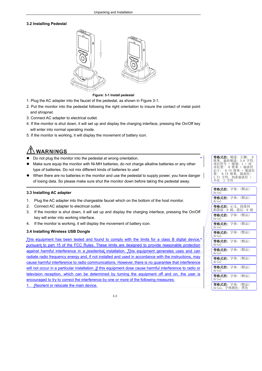#### **3.2 Installing Pedestal**



#### **Figure: 3-1 Install pedestal**

- 1. Plug the AC adapter into the faucet of the pedestal, as shown in Figure 3-1.
- 2. Put the monitor into the pedestal following the right orientation to insure the contact of metal point and shrapnel.
- 3. Connect AC adapter to electrical outlet.
- 4. If the monitor is shut down, it will set up and display the charging interface, pressing the On/Off key will enter into normal operating mode.
- 5. If the monitor is working, it will display the movement of battery icon.

## **WARNINGS**

- Do not plug the monitor into the pedestal at wrong orientation.
- Make sure equip the monitor with Ni-MH batteries, do not charge alkaline batteries or any other type of batteries. Do not mix different kinds of batteries to use!
- When there are no batteries in the monitor and use the pedestal to supply power, you have danger of losing data. So please make sure shut the monitor down before taking the pedestal away.

#### **3.3 Installing AC adapter**

l

- 1. Plug the AC adapter into the chargeable faucet which on the bottom of the host monitor.
- 2. Connect AC adapter to electrical outlet.
- 3. If the monitor is shut down, it will set up and display the charging interface, pressing the On/Off key will enter into working interface.
- 4. If the monitor is working, it will display the movement of battery icon.

#### **3.4 Installing Wireless USB Dongle**

This equipment has been tested and found to comply with the limits for a class B digital device, pursuant to part 15 of the FCC Rules. These limits are designed to provide reasonable protection against harmful interference in a residential installation. This equipment generates uses and can radiate radio frequency energy and, if not installed and used in accordance with the instructions, may cause harmful interference to radio communications. However, there is no guarantee that interference will not occur in a particular installation. If this equipment dose cause harmful interference to radio or television reception, which can be determined by turning the equipment off and on, the user is encouraged to try to correct the interference by one or more of the following measures: 1. Reorient or relocate the main device.

|                    | <b>带格式的:</b> 缩进:左侧: 0<br>厘米,悬挂缩进:3.6 字符,<br> 项目符号 + 级别: 1 + 对<br>齐位置: - 0 厘米 + 制表符<br>介面量: 0.74 厘米 - <sup>偏决 + 缩迟位<br/>后于: 0.74 厘米 , 制表位 +<br/>【注: 0.74 厘米 , 制表位 +<br/>1.71 字符, 列表制表位 +</sup> |
|--------------------|-----------------------------------------------------------------------------------------------------------------------------------------------------------------------------------------------|
|                    | 带格式的: 字体: (默认)<br>Arial                                                                                                                                                                       |
| $\frac{1}{l}$<br>Ī | 带格式的: 字体: (默认)<br>Arial                                                                                                                                                                       |
| ļ                  | <b>带格式的:</b> 正文,段落间<br>距段前: 0 磅, 段后: 0 磅                                                                                                                                                      |
|                    | 带格式的: 字体: (默认)<br>Arial                                                                                                                                                                       |
|                    | 带格式的: 字体: (默认)<br>Arial                                                                                                                                                                       |
|                    | 带格式的: 字体: (默认)<br>Arial                                                                                                                                                                       |
|                    | 带格式的: 字体: (默认)<br>Arial                                                                                                                                                                       |
|                    | 带格式的: 字体: (默认)<br>Arial                                                                                                                                                                       |
|                    | 带格式的: 字体: (默认)<br>Arial                                                                                                                                                                       |
|                    | 带格式的: 字体: (默认)<br>Arial                                                                                                                                                                       |
|                    | 带格式的: 字体: (默认)<br>Arial                                                                                                                                                                       |

**带格式的:** 字体: (默认)<br>Arial, 字体颜色: 黑色

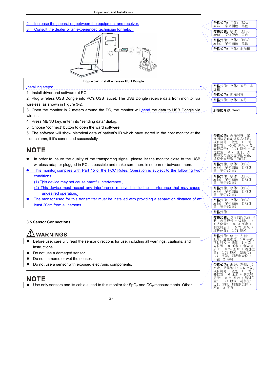- Increase the separation between the equipment and receiver.
- Consult the dealer or an experienced technician for help.



| <b>带格式的:</b> 字体: (默认)<br>Arial, 字体颜色: 黑色 |
|------------------------------------------|
| <b>带格式的:</b> 字体: (默认)<br>Arial, 字体颜色: 黑色 |
| <b>带格式的:</b> 字体: (默认)<br>Arial, 字体颜色: 黑色 |
| 带格式的: 字体: 非加粗                            |

带格式的: 字体: 五号, 非

带格式的: 两端对齐 带格式的: 字体: 五号

删除的内容**:** Send

加粗

**Figure 3-2: Install wireless USB Dongle**

#### Installing steps:

1. Install driver and software at PC.

2. Plug wireless USB Dongle into PC's USB faucet, The USB Dongle receive data from monitor via wireless, as shown in Figure 3-2.

3. Open the monitor in 2 meters around the PC, the monitor will send the data to USB Dongle via wireless.

- 4. Press MENU key, enter into "sending data" dialog.
- 5. Choose "connect" button to open the ward software.

6. The software will show historical data of patient's ID which have stored in the host monitor at the side column, if it's connected successfully.

## **NOTE**

ı

- In order to insure the quality of the transporting signal, please let the monitor close to the USB wireless adapter plugged in PC as possible and make sure there is no barrier between them.
- **•** This monitor complies with Part 15 of the FCC Rules. Operation is subject to the following two conditions:

(1) This device may not cause harmful interference.

(2) This device must accept any interference received, including interference that may cause undesired operation.

The monitor used for this transmitter must be installed with providing a separation distance of at least 20cm from all persons.

### **3.5 Sensor Connections**

## **WARNINGS**

- Before use, carefully read the sensor directions for use, including all warnings, cautions, and instructions.
- Do not use a damaged sensor.
- Do not immerse or wet the sensor.
- Do not use a sensor with exposed electronic components. ı

## **NOTE**

Use only sensors and its cable suited to this monitor for  $SpO<sub>2</sub>$  and  $CO<sub>2</sub>$  measurements. Other

厘米, 悬挂缩进: 3.6 字符, 项目符号 + 级别: 1 + 对

齐位置: 0 厘米 + 制表符 后于: 0.74 厘米 + 缩进位 置: 0.74 厘米, 制表位: 1.71 字符, 列表制表位 + 不在 2 字符

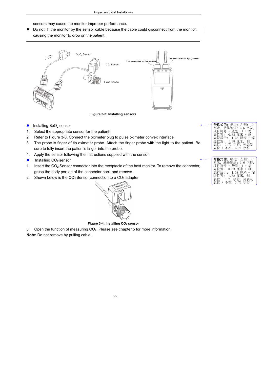sensors may cause the monitor improper performance.

Do not lift the monitor by the sensor cable because the cable could disconnect from the monitor, causing the monitor to drop on the patient.



 $\bullet$  Installing SpO<sub>2</sub> sensor

ı

- 1. Select the appropriate sensor for the patient.
- 2. Refer to Figure 3-3, Connect the oximeter plug to pulse oximeter convex interface.
- 3. The probe is finger of tip oximeter probe. Attach the finger probe with the light to the patient. Be sure to fully insert the patient's finger into the probe.
- 4. Apply the sensor following the instructions supplied with the sensor.
- $\bullet$  Installing CO<sub>2</sub> sensor
- 1. Insert the CO<sub>2</sub> Sensor connector into the receptacle of the host monitor. To remove the connector, grasp the body portion of the connector back and remove.
- 2. Shown below is the  $CO<sub>2</sub>$  Sensor connection to a  $CO<sub>2</sub>$  adapter



Figure 3-4: Installing CO<sub>2</sub> sensor

3. Open the function of measuring  $CO<sub>2</sub>$ . Please see chapter 5 for more information. **Note:** Do not remove by pulling cable.

| 带格式的:缩进:左侧: 0     |
|-------------------|
| 厘米, 悬挂缩进: 3.6 字符, |
| 项目符号 + 级别: 1 + 对  |
| 齐位置: 0.63 厘米 + 制  |
| 表符后于: 1.38 厘米 + 缩 |
| 进位置: 1.38 厘米,制    |
| 表位: 1.71 字符,列表制   |
| 表位 + 不在 3.71 字符   |
|                   |

| ┪带格式的:缩进:左侧: 0    |
|-------------------|
| 厘米, 悬挂缩进: 3.6 字符, |
| 项目符号 + 级别: 1 + 对  |
| 齐位置: 0.63 厘米 + 制  |
| 表符后于: 1.38 厘米 + 缩 |
| 进位置: 1.38 厘米, 制   |
| 表位: 1.71 字符,列表制   |
| 表位 + 不在 3.71 字符   |

 $\ddotmark$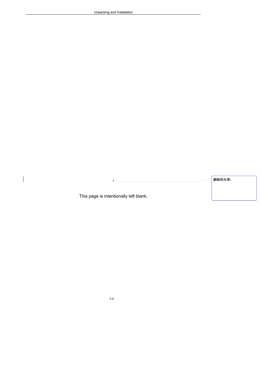删除的内容**:** 

This page is intentionally left blank.

J. L i. J.

 $\overline{\phantom{a}}$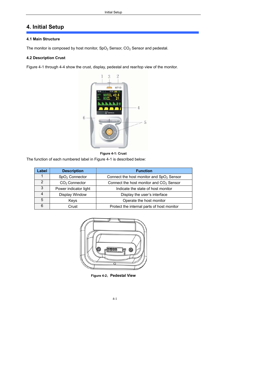### **4. Initial Setup**

#### **4.1 Main Structure**

The monitor is composed by host monitor,  $SpO<sub>2</sub>$  Sensor,  $CO<sub>2</sub>$  Sensor and pedestal.

#### **4.2 Description Crust**

Figure 4-1 through 4-4 show the crust, display, pedestal and rear/top view of the monitor.



**Figure 4-1: Crust** 

The function of each numbered label in Figure 4-1 is described below:

| Label | <b>Description</b>        | <b>Function</b>                                     |
|-------|---------------------------|-----------------------------------------------------|
|       | $SpO2$ Connector          | Connect the host monitor and $SpO2$ Sensor          |
| 2     | CO <sub>2</sub> Connector | Connect the host monitor and CO <sub>2</sub> Sensor |
| 3     | Power indicator light     | Indicate the state of host monitor                  |
|       | Display Window            | Display the user's interface                        |
| 5     | Keys                      | Operate the host monitor                            |
| 6     | Crust                     | Protect the internal parts of host monitor          |



**Figure 4-2**:**Pedestal View**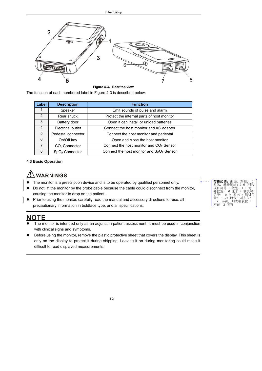

**Figure 4-3**:**Rear/top view** 

The function of each numbered label in Figure 4-3 is described below:

| Label          | <b>Description</b>         | <b>Function</b>                                      |
|----------------|----------------------------|------------------------------------------------------|
|                | Speaker                    | Emit sounds of pulse and alarm                       |
| $\overline{2}$ | Rear shuck                 | Protect the internal parts of host monitor           |
| 3              | Battery door               | Open it can install or unload batteries              |
|                | Electrical outlet          | Connect the host monitor and AC adapter              |
| 5              | Pedestal connector         | Connect the host monitor and pedestal                |
| 6              | On/Off key                 | Open and close the host monitor                      |
|                | CO <sub>2</sub> Connector  | Connect the host monitor and CO <sub>2</sub> Sensor  |
| 8              | SpO <sub>2</sub> Connector | Connect the host monitor and SpO <sub>2</sub> Sensor |

#### **4.3 Basic Operation**

## **WARNINGS**

- The monitor is a prescription device and is to be operated by qualified personnel only.
- Do not lift the monitor by the probe cable because the cable could disconnect from the monitor, causing the monitor to drop on the patient.
- Prior to using the monitor, carefully read the manual and accessory directions for use, all precautionary information in boldface type, and all specifications.

### **NOTE**

ı

l

- The monitor is intended only as an adjunct in patient assessment. It must be used in conjunction with clinical signs and symptoms.
- Before using the monitor, remove the plastic protective sheet that covers the display. This sheet is only on the display to protect it during shipping. Leaving it on during monitoring could make it difficult to read displayed measurements.

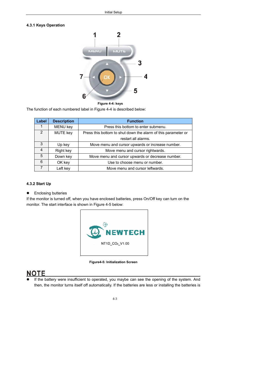#### **4.3.1 Keys Operation**



**Figure 4-4: keys** 

The function of each numbered label in Figure 4-4 is described below:

| Label         | <b>Description</b> | <b>Function</b>                                               |
|---------------|--------------------|---------------------------------------------------------------|
|               | <b>MENU</b> key    | Press this bottom to enter submenu.                           |
| $\mathcal{P}$ | MUTE key           | Press this bottom to shut down the alarm of this parameter or |
|               |                    | restart all alarms.                                           |
| 3             | Up key             | Move menu and cursor upwards or increase number.              |
| 4             | Right key          | Move menu and cursor rightwards.                              |
| 5             | Down key           | Move menu and cursor upwards or decrease number.              |
| 6             | OK key             | Use to choose menu or number.                                 |
|               | Left key           | Move menu and cursor leftwards.                               |

#### **4.3.2 Start Up**

**•** Enclosing butteries

If the monitor is turned off, when you have enclosed batteries, press On/Off key can turn on the monitor. The start interface is shown in Figure 4-5 below:



**Figure4-5: Initialization Screen**

### **NOTE**

If the battery were insufficient to operated, you maybe can see the opening of the system. And then, the monitor turns itself off automatically. If the batteries are less or installing the batteries is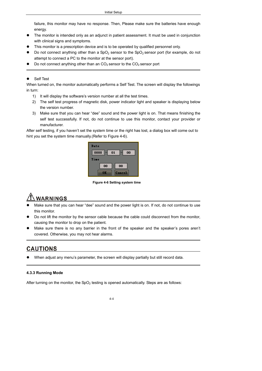failure, this monitor may have no response. Then, Please make sure the batteries have enough energy.

- The monitor is intended only as an adjunct in patient assessment. It must be used in conjunction with clinical signs and symptoms.
- This monitor is a prescription device and is to be operated by qualified personnel only.
- Do not connect anything other than a  $SpO<sub>2</sub>$  sensor to the  $SpO<sub>2</sub>$  sensor port (for example, do not attempt to connect a PC to the monitor at the sensor port).
- Do not connect anything other than an  $CO<sub>2</sub>$  sensor to the  $CO<sub>2</sub>$  sensor port

#### Self Test

ı

When turned on, the monitor automatically performs a Self Test. The screen will display the followings in turn:

- 1) It will display the software's version number at all the test times.
- 2) The self test progress of magnetic disk, power indicator light and speaker is displaying below the version number.
- 3) Make sure that you can hear "dee" sound and the power light is on. That means finishing the self test successfully. If not, do not continue to use this monitor, contact your provider or manufacturer.

After self testing, if you haven't set the system time or the right has lost, a dialog box will come out to hint you set the system time manually.(Refer to Figure 4-6).



**Figure 4-6 Setting system time** 

## **WARNINGS**

- Make sure that you can hear "dee" sound and the power light is on. If not, do not continue to use this monitor.
- Do not lift the monitor by the sensor cable because the cable could disconnect from the monitor, causing the monitor to drop on the patient.
- Make sure there is no any barrier in the front of the speaker and the speaker's pores aren't covered. Otherwise, you may not hear alarms.

### **CAUTIONS**

l

ı

When adjust any menu's parameter, the screen will display partially but still record data.

#### **4.3.3 Running Mode**

After turning on the monitor, the  $SpO<sub>2</sub>$  testing is opened automatically. Steps are as follows: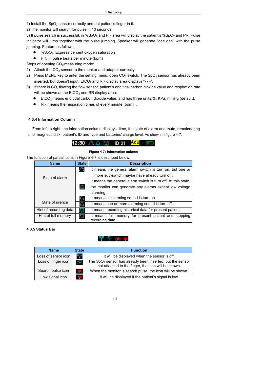1) Install the  $SpO<sub>2</sub>$  sensor correctly and put patient's finger in it.

2) The monitor will search for pulse in 10 seconds.

3) If pulse search is successful, in %SpO<sub>2</sub> and PR area will display the patient's %SpO<sub>2</sub> and PR. Pulse indicator will jump together with the pulse jumping. Speaker will generate "dee dee" with the pulse jumping. Feature as follows:

- $\bullet$  %SpO<sub>2</sub>: Express percent oxygen saturation
- PR: In pulse beats per minute (bpm)

Steps of opening  $CO<sub>2</sub>$  measuring mode:

- 1) Attach the  $CO<sub>2</sub>$  sensor to the monitor and adapter correctly.
- 2) Press MENU key to enter the setting menu, open  $CO<sub>2</sub>$  switch. The SpO<sub>2</sub> sensor has already been inserted, but doesn't input,  $E<sub>1</sub>CO<sub>2</sub>$  and RR display area displays "---".
- 3) If there is CO<sub>2</sub> flowing the flow sensor, patient's end tidal carbon dioxide value and respiration rate will be shown at the  $E<sub>1</sub>CO<sub>2</sub>$  and RR display area.
	- $E<sub>1</sub>ECO<sub>2</sub>$  means end tidal carbon dioxide value, and has three units:%, KPa, mmHg (default).
	- $\bullet$  RR means the respiration times of every minute (bpm).

#### **4.3.4 Information Column**

From left to right ,the information column displays: time, the state of alarm and mute, remaindering full of magnetic disk, patient's ID and type and batteries' charge level. As shown in figure 4-7.

#### Adu 12:30 △△ 图  $ID:01$ ⊪

#### **Figure 4-7: Information column**

The function of partial icons in Figure 4-7 is described below:

| <b>Name</b>            | <b>State</b> | <b>Description</b>                                                       |
|------------------------|--------------|--------------------------------------------------------------------------|
|                        | Δ            | It means the general alarm switch is turn on, but one or                 |
| State of alarm         |              | more sub-switch maybe have already turn off.                             |
|                        |              | It means the general alarm switch is turn off. At this state,            |
|                        | ⚠            | the monitor can generate any alarms except low voltage                   |
|                        |              | alarming.                                                                |
|                        | Δ            | It means all alarming sound is turn on.                                  |
| State of silence       | A            | It means one or more alarming sound is turn off.                         |
| Hint of recording data | Ŧ            | It means recording historical data for present patient.                  |
| Hint of full memory    | X            | It means full memory for present patient and stopping<br>recording data. |

#### **4.3.5 Status Bar**



| <b>Name</b>         | <b>State</b> | <b>Function</b>                                                                                                    |
|---------------------|--------------|--------------------------------------------------------------------------------------------------------------------|
| Loss of sensor icon | F            | It will be displayed when the sensor is off.                                                                       |
| Loss of finger icon | ंडे          | The $SpO2$ sensor has already been inserted, but the sensor<br>not attached to the finger, the icon will be shown. |
| Search pulse icon   | D            | When the monitor is search pulse, the icon will be shown.                                                          |
| Low signal icon     |              | It will be displayed if the patient's signal is low.                                                               |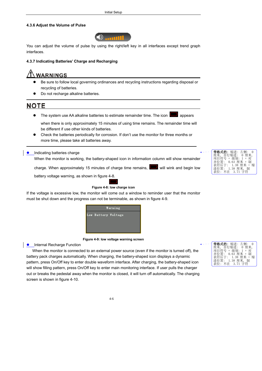#### **4.3.6 Adjust the Volume of Pulse**

You can adjust the volume of pulse by using the right/left key in all interfaces except trend graph interfaces.

**4.3.7 Indicating Batteries' Charge and Recharging** 

## **WARNINGS**

- Be sure to follow local governing ordinances and recycling instructions regarding disposal or recycling of batteries.
- Do not recharge alkaline batteries.

## **NOTE**

ı

L

The system use AA alkaline batteries to estimate remainder time. The icon  $\Box$  appears

when there is only approximately 15 minutes of using time remains. The remainder time will be different if use other kinds of batteries.

- Check the batteries periodically for corrosion. If don't use the monitor for three months or more time, please take all batteries away.
- $\bullet$  Indicating batteries charge

When the monitor is working, the battery-shaped icon in information column will show remainder

charge. When approximately 15 minutes of charge time remains,  $\Box$  will wink and begin low

battery voltage warning, as shown in figure 4-8.

#### **Figure 4-8: low charge icon**

If the voltage is excessive low, the monitor will come out a window to reminder user that the monitor must be shut down and the progress can not be terminable, as shown in figure 4-9.



**Figure 4-9: low voltage warning screen**

**•** Internal Recharge Function

 When the monitor is connected to an external power source (even if the monitor is turned off), the battery pack charges automatically. When charging, the battery-shaped icon displays a dynamic pattern, press On/Off key to enter double waveform interface. After charging, the battery-shaped icon will show filling pattern, press On/Off key to enter main monitoring interface. If user pulls the charger out or breaks the pedestal away when the monitor is closed, it will turn off automatically. The charging screen is shown in figure 4-10.



带格式的: 缩进: 左侧: 0 厘米, 首行缩进: 0 厘米, 项目符号 + 级别: 1 + 对

齐位置: 0.63 厘米 + 制<br>表符后于: 1.38 厘米 + 缩<br>进位置: 1.38 厘米, 制<br>表位: 不在 3.71 字符 表符后于: 1.38 厘米 + 缩 进位置: 1.38 厘米, 制 表位: 不在 3.71 字符

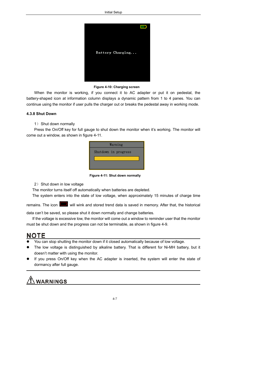

#### **Figure 4-10: Charging screen**

When the monitor is working, if you connect it to AC adapter or put it on pedestal, the battery-shaped icon at information column displays a dynamic pattern from 1 to 4 panes. You can continue using the monitor if user pulls the charger out or breaks the pedestal away in working mode.

#### **4.3.8 Shut Down**

1) Shut down normally

Press the On/Off key for full gauge to shut down the monitor when it's working. The monitor will come out a window, as shown in figure 4-11.

| Warning              |
|----------------------|
| Shutdown in progress |
|                      |
|                      |

 **Figure 4-11: Shut down normally** 

2) Shut down in low voltage

The monitor turns itself off automatically when batteries are depleted.

The system enters into the state of low voltage, when approximately 15 minutes of charge time

remains. The icon  $\Box$  will wink and stored trend data is saved in memory. After that, the historical

data can't be saved, so please shut it down normally and change batteries.

If the voltage is excessive low, the monitor will come out a window to reminder user that the monitor must be shut down and the progress can not be terminable, as shown in figure 4-9.

### **NOTE**

l

- You can stop shutting the monitor down if it closed automatically because of low voltage.
- The low voltage is distinguished by alkaline battery. That is different for Ni-MH battery, but it doesn't matter with using the monitor.
- If you press On/Off key when the AC adapter is inserted, the system will enter the state of dormancy after full gauge.

## **WARNINGS**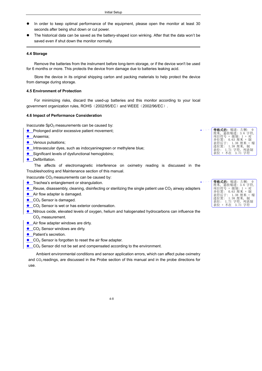- In order to keep optimal performance of the equipment, please open the monitor at least 30 seconds after being shut down or cut power.
- The historical data can be saved as the battery-shaped icon winking. After that the data won't be saved even if shut down the monitor normally.

#### **4.4 Storage**

l

Remove the batteries from the instrument before long-term storage, or if the device won't be used for 6 months or more. This protects the device from damage due to batteries leaking acid.

Store the device in its original shipping carton and packing materials to help protect the device from damage during storage.

#### **4.5 Environment of Protection**

For minimizing risks, discard the used-up batteries and this monitor according to your local government organization rules, ROHS (2002/95/EC) and WEEE (2002/96/EC).

#### **4.6 Impact of Performance Consideration**

Inaccurate  $SpO<sub>2</sub>$  measurements can be caused by:

- Prolonged and/or excessive patient movement;
- **.** Anaemia;
- Venous pulsations;
- **o** Intravascular dyes, such as indocyaninegreen or methylene blue;
- $\bullet$  Significant levels of dysfunctional hemoglobins;
- **•** Defibrillation.

The affects of electromagnetic interference on oximetry reading is discussed in the Troubleshooting and Maintenance section of this manual.

- Inaccurate  $CO<sub>2</sub>$  measurements can be caused by:
- $\bullet$  Trachea's entanglement or strangulation.
- **•** Reuse, disassembly, cleaning, disinfecting or sterilizing the single patient use  $CO<sub>2</sub>$  airway adapters
- **•** Air flow adapter is damaged.
- $\bullet$  CO<sub>2</sub> Sensor is damaged.
- $\bullet$  CO<sub>2</sub> Sensor is wet or has exterior condensation.
- Nitrous oxide, elevated levels of oxygen, helium and halogenated hydrocarbons can influence the CO<sub>2</sub> measurement.
- $\bullet$  Air flow adapter windows are dirty.
- $\bullet$  CO<sub>2</sub> Sensor windows are dirty.
- Patient's secretion.
- $\bullet$  CO<sub>2</sub> Sensor is forgotten to reset the air flow adapter.
- CO<sub>2</sub> Sensor did not be set and compensated according to the environment.

Ambient environmental conditions and sensor application errors, which can affect pulse oximetry and  $CO<sub>2</sub>$  readings, are discussed in the Probe section of this manual and in the probe directions for use.

| 带格式的:缩进:左侧: 0     |
|-------------------|
| 厘米, 悬挂缩进: 3.6 字符, |
| 项目符号 + 级别: 1 + 对  |
| │齐位置: 0.63 厘米 + 制 |
| 表符后于: 1.38 厘米 + 缩 |
| 讲位置: 1.38 厘米,制    |
| 表位: 1.71 字符,列表制   |
| 表位 + 不在 3.71 字符   |

| 带格式的:缩进:左侧: 0     |
|-------------------|
| 厘米, 悬挂缩进: 3.6 字符, |
| 项目符号 + 级别: 1 + 对  |
| 齐位置: 0.63 厘米 + 制  |
| 表符后于: 1.38 厘米 + 缩 |
| 讲位置: 1.38 厘米, 制   |
| 表位: 1.71 字符, 列表制  |
| 表位 + 不在 3.71 字符   |

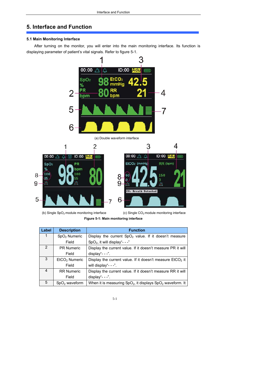## **5. Interface and Function**

#### **5.1 Main Monitoring Interface**

After turning on the monitor, you will enter into the main monitoring interface. Its function is displaying parameter of patient's vital signals. Refer to figure 5-1.





**Figure 5-1: Main monitoring interface** 

| Label | <b>Description</b> | <b>Function</b>                                               |
|-------|--------------------|---------------------------------------------------------------|
| 1     | $SpO2$ Numeric     | Display the current $SpO2$ value. If it doesn't measure       |
|       | Field              | $SpO2$ , it will display"- - -"                               |
| 2     | <b>PR Numeric</b>  | Display the current value. If it doesn't measure PR it will   |
|       | Field              | display"- - -".                                               |
| 3     | $EtCO2$ Numeric    | Display the current value. If it doesn't measure $ECO2$ it    |
|       | Field              | will display"- - -".                                          |
| 4     | <b>RR Numeric</b>  | Display the current value. If it doesn't measure RR it will   |
|       | Field              | display"- - -".                                               |
| 5     | $SpO2$ waveform    | When it is measuring $SpO2$ , it displays $SpO2$ waveform. It |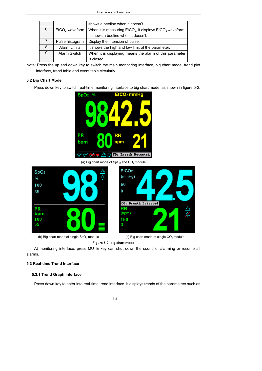|   |                            | shows a beeline when it doesn't.                           |
|---|----------------------------|------------------------------------------------------------|
| 6 | EtCO <sub>2</sub> waveform | When it is measuring $ECO2$ , it displays $ECO2$ waveform. |
|   |                            | It shows a beeline when it doesn't.                        |
| 7 | Pulse histogram            | Display the intension of pulse.                            |
| 8 | <b>Alarm Limits</b>        | It shows the high and low limit of the parameter.          |
| 9 | Alarm Switch               | When it is displaying means the alarm of this parameter    |
|   |                            | is closed.                                                 |

Note: Press the up and down key to switch the main monitoring interface, big chart mode, trend plot interface, trend table and event table circularly.

#### **5.2 Big Chart Mode**

Press down key to switch real-time monitoring interface to big chart mode, as shown in figure 5-2.



(a) Big chart mode of  $SpO<sub>2</sub>$  and  $CO<sub>2</sub>$  module





(b) Big chart mode of single  $SpO<sub>2</sub>$  module (c) Big chart mode of single  $CO<sub>2</sub>$  module

**Figure 5-2: big chart mode** 

At monitoring interface, press MUTE key can shut down the sound of alarming or resume all alarms.

#### **5.3 Real-time Trend Interface**

#### **5.3.1 Trend Graph Interface**

Press down key to enter into real-time trend interface. It displays trends of the parameters such as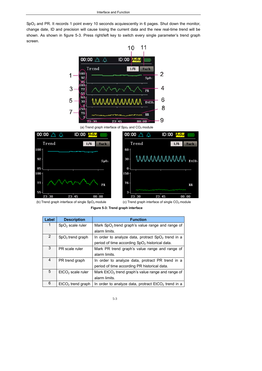SpO<sub>2</sub> and PR. It records 1 point every 10 seconds acquiescently in 6 pages. Shut down the monitor, change date, ID and precision will cause losing the current data and the new real-time trend will be shown. As shown in figure 5-3. Press right/left key to switch every single parameter's trend graph screen.



(a) Trend graph interface of  $Spo<sub>2</sub>$  and  $CO<sub>2</sub>$  module





(b) Trend graph interface of single  $SpO<sub>2</sub>$  module (c) Trend graph interface of single  $CO<sub>2</sub>$  module

| Figure 5-3: Trend graph interface |  |  |  |  |  |
|-----------------------------------|--|--|--|--|--|
|-----------------------------------|--|--|--|--|--|

| Label          | <b>Description</b>            | <b>Function</b>                                                 |
|----------------|-------------------------------|-----------------------------------------------------------------|
| 1              | $SpO2$ scale ruler            | Mark SpO <sub>2</sub> trend graph's value range and range of    |
|                |                               | alarm limits.                                                   |
| $\overline{2}$ | $SpO2$ trend graph            | In order to analyze data, protract $SpO2$ trend in a            |
|                |                               | period of time according SpO <sub>2</sub> historical data.      |
| 3              | PR scale ruler                | Mark PR trend graph's value range and range of                  |
|                |                               | alarm limits.                                                   |
| 4              | PR trend graph                | In order to analyze data, protract PR trend in a                |
|                |                               | period of time according PR historical data.                    |
| 5              | EtCO <sub>2</sub> scale ruler | Mark EtCO <sub>2</sub> trend graph's value range and range of   |
|                |                               | alarm limits.                                                   |
| 6              | $E1CO2$ trend graph           | In order to analyze data, protract EtCO <sub>2</sub> trend in a |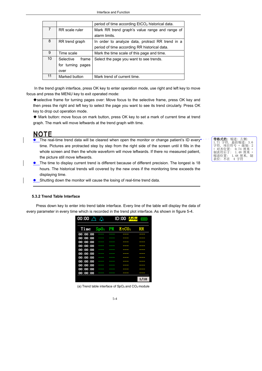|    |                      | period of time according EtCO <sub>2</sub> historical data. |
|----|----------------------|-------------------------------------------------------------|
|    | RR scale ruler       | Mark RR trend graph's value range and range of              |
|    |                      | alarm limits.                                               |
| 8  | RR trend graph       | In order to analyze data, protract RR trend in a            |
|    |                      | period of time according RR historical data.                |
| 9  | Time scale           | Mark the time scale of this page and time.                  |
| 10 | Selective<br>frame   | Select the page you want to see trends.                     |
|    | for turning<br>pages |                                                             |
|    | over                 |                                                             |
| 11 | Marked button        | Mark trend of current time.                                 |

In the trend graph interface, press OK key to enter operation mode, use right and left key to move focus and press the MENU key to exit operated mode:

◆selective frame for turning pages over: Move focus to the selective frame, press OK key and then press the right and left key to select the page you want to see its trend circularly. Press OK key to drop out operation mode.

◆ Mark button: move focus on mark button, press OK key to set a mark of current time at trend graph. The mark will move leftwards at the trend graph with time.

### **NOTE**

l

- The real-time trend data will be cleared when open the monitor or change patient's ID every time. Pictures are protracted step by step from the right side of the screen until it fills in the whole screen and then the whole waveform will move leftwards. If there no measured patient, the picture still move leftwards.
- The time to display current trend is different because of different precision. The longest is 18 hours. The historical trends will covered by the new ones if the monitoring time exceeds the displaying time.
- **•** Shutting down the monitor will cause the losing of real-time trend data.

#### **5.3.2 Trend Table Interface**

 Press down key to enter into trend table interface. Every line of the table will display the data of every parameter in every time which is recorded in the trend plot interface. As shown in figure 5-4.

| 00:00 $\triangle$ |              | ID:00        |             |
|-------------------|--------------|--------------|-------------|
| Time              | $S_{D}0_{z}$ | $PR$ $EtCO2$ | $_{\rm RR}$ |
| 00:00:00          |              |              |             |
| 00:00:00          |              |              |             |
| 00:00:00          |              |              |             |
| 00:00:00          |              |              |             |
| 00:00:00          |              |              |             |
| 00:00:00          |              |              |             |
| 00:00:00          |              |              |             |
| 00:00:00          |              |              |             |
| 00:00:00          |              |              |             |
| 00:00:00          |              |              |             |
| 00:00:00          |              |              |             |
|                   |              |              |             |

(a) Trend table interface of  $SpO<sub>2</sub>$  and  $CO<sub>2</sub>$  module

| ┪带格式的: 缩进: 左侧:     |
|--------------------|
| 1.71 字符, 悬挂缩进: 3.6 |
| 字符, 项目符号 + 级别: 2   |
| + 对齐位置: 0.74 厘米 +  |
| 制表符后于: 1.48 厘米 +   |
| 缩进位置: 1.48 厘米, 制   |
| 表位:不在 4 字符         |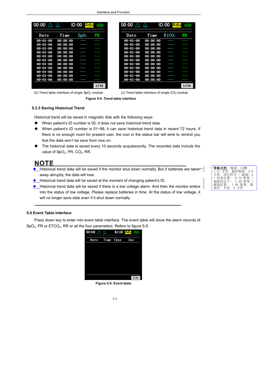| $00:00 \; /$   |          | ID:00          |      |
|----------------|----------|----------------|------|
| Date           | Time     | $\text{SpO}_2$ | PR   |
| $00 - 01 - 00$ | 00:00:00 |                |      |
| $00 - 01 - 00$ | 00:00:00 |                |      |
| $00 - 01 - 00$ | 00:00:00 |                |      |
| $00 - 01 - 00$ | 00:00:00 |                |      |
| $00 - 01 - 00$ | 00:00:00 |                |      |
| $00 - 01 - 00$ | 00:00:00 |                |      |
| $00 - 01 - 00$ | 00:00:00 |                |      |
| $00 - 01 - 00$ | 00:00:00 |                |      |
| 00-01-00       | 00:00:00 |                |      |
| $00 - 01 - 00$ | 00:00:00 |                |      |
| 00-01-00       | 00:00:00 |                |      |
|                |          |                | 1/10 |

| 00:00 /        |          | ID:00     |      |
|----------------|----------|-----------|------|
| Date           | Time     | $R + CO2$ | RR   |
| $00 - 01 - 00$ | 00:00:00 |           |      |
| 00-01-00       | 00:00:00 |           |      |
| 00-01-00       | 00:00:00 |           |      |
| $00 - 01 - 00$ | 00:00:00 |           |      |
| 00-01-00       | 00:00:00 |           |      |
| $00 - 01 - 00$ | 00:00:00 |           |      |
| 00-01-00       | 00:00:00 |           |      |
| 00-01-00       | 00:00:00 |           |      |
| 00-01-00       | 00:00:00 |           |      |
| 00-01-00       | 00:00:00 |           |      |
| 00-01-00       | 00:00:00 |           |      |
|                |          |           | 1/10 |

(b) Trend table interface of single  $SpO<sub>2</sub>$  module (c) Trend table interface of single  $CO<sub>2</sub>$  module

 **Figure 5-4: Trend table interface** 

#### **5.3.3 Saving Historical Trend**

Historical trend will be saved in magnetic disk with the following ways:

- When patient's ID number is 00, it does not save historical trend data.
- ◆ When patient's ID number is 01~99, it can save historical trend data in recent 72 hours. If there is no enough room for present user, the icon in the status bar will wink to remind you that the data won't be save from now on.
- The historical data is saved every 10 seconds acquiescently. The recorded data include the value of SpO<sub>2</sub>, PR, CO<sub>2</sub>, RR.

## **NOTE**

- **•** Historical trend data will be saved if the monitor shut down normally. But if batteries are taken<sup>+-</sup> away abruptly, the data will lose.
- **•** Historical trend data will be saved at the moment of changing patient's ID.

**•** Historical trend data will be saved if there is a low voltage alarm. And then the monitor enters into the status of low voltage. Please replace batteries in time. At the status of low voltage, it will no longer save data even if it shut down normally.

| · 十 <b>带格式的:</b> 缩进:左侧: |
|-------------------------|
| 1.71 字符, 悬挂缩进: 3.6      |
| 字符, 项目符号 + 级别: 2        |
| + 对齐位置: 0.74 厘米 +       |
| 制表符后于: 1.48 厘米 +        |
| 缩进位置: 1.48 厘米, 制        |
| 表位: 不在 4 字符             |

#### **5.4 Event Table Interface**

֦

Press down key to enter into event table interface. The event table will show the alarm records of SpO<sub>2</sub>, PR or ETCO<sub>2</sub>, RR or all the four parameters. Refers to figure 5-5.



**Figure 5-5: Event table**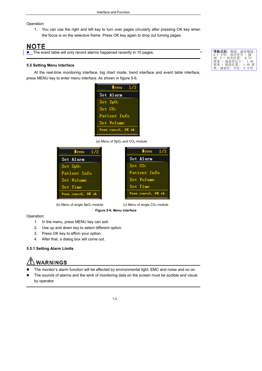Operation:

1. You can use the right and left key to turn over pages circularly after pressing OK key when the focus is on the selective frame. Press OK key again to drop out turning pages.

### **NOTE**

The event table will only record alarms happened recently in 10 pages. ı

#### **5.5 Setting Menu Interface**

At the real-time monitoring interface, big chart mode, trend interface and event table interface, press MENU key to enter menu interface. As shown in figure 5-6.

| 1/3<br>$I$ enu       |
|----------------------|
| Set Alarm            |
| Set SpO <sub>2</sub> |
| $Set$ $CO2$          |
| Patient Info         |
| Set Volume           |
| Menu cancel, OK ok   |

(a) Menu of  $SpO<sub>2</sub>$  and  $CO<sub>2</sub>$  module

| Set Alarm<br>Set CO <sub>2</sub><br>Patient Info |
|--------------------------------------------------|
|                                                  |
|                                                  |
|                                                  |
| Set Volume                                       |
| Set Time                                         |
| Menu cancel, OK ok                               |
|                                                  |

 **Figure 5-6: Menu interface** 

(b) Menu of single SpO<sub>2</sub> module *(c)* Menu of single CO<sub>2</sub> module

Operation:

l

- 1. In the menu, press MENU key can exit.
- 2. Use up and down key to select different option.
- 3. Press OK key to affirm your option.
- 4. After that, a dialog box will come out.

#### **5.5.1 Setting Alarm Limits**

## **WARNINGS**

- The monitor's alarm function will be affected by environmental light, EMC and noise and so on.
- The sounds of alarms and the wink of monitoring data on the screen must be audible and visual by operator.

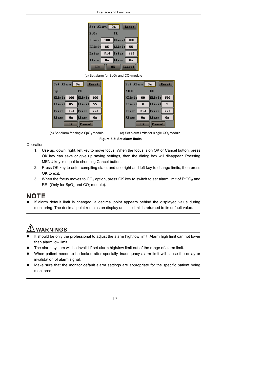| Set Alarm 0n<br>Reset                  |  |                         |  |
|----------------------------------------|--|-------------------------|--|
| $S_{\mathbf{p}} \mathbf{0}_2$          |  | <b>PR</b>               |  |
|                                        |  | HLimit 100 HLimit 100   |  |
|                                        |  | LLimit 85 LLimit 55     |  |
|                                        |  | Prior   Mid Prior   Mid |  |
|                                        |  | Alarm On Alarm On       |  |
| <b>Cancel</b><br>CD <sub>2</sub><br>0K |  |                         |  |

(a) Set alarm for  $SpO<sub>2</sub>$  and  $CO<sub>2</sub>$  module

| Set Alarm 0n<br>Reset |                |                       |                |
|-----------------------|----------------|-----------------------|----------------|
| $\mathbf{Sp0}_{2}$    | <b>PR</b>      |                       |                |
|                       |                | HLimit 100 HLimit 100 |                |
|                       |                | LLimit 85 LLimit 55   |                |
|                       |                | Prior   Mid   Prior   | Mid            |
| Alarm                 | 0 <sub>n</sub> | Alarm                 | 0 <sub>n</sub> |
|                       | UК             | Cancel                |                |

| Set Alarm On |                         | Reset |
|--------------|-------------------------|-------|
| $E$ t $C0z$  | RR                      |       |
|              | HLimit 60 HLimit 150    |       |
| LLimit 0     | Limit 3                 |       |
|              | Prior   Mid Prior   Mid |       |
| Alarm 0n     | Alarm 0n                |       |
|              | Cancel                  |       |

(b) Set alarm for single  $SpO<sub>2</sub>$  module (c) Set alarm limits for single  $CO<sub>2</sub>$  module

**Figure 5-7: Set alarm limits**

Operation:

- 1. Use up, down, right, left key to move focus. When the focus is on OK or Cancel button, press OK key can save or give up saving settings, then the dialog box will disappear. Pressing MENU key is equal to choosing Cancel button.
- 2. Press OK key to enter compiling state, and use right and left key to change limits, then press OK to exit.
- 3. When the focus moves to  $CO<sub>2</sub>$  option, press OK key to switch to set alarm limit of EtCO<sub>2</sub> and RR. (Only for  $SpO<sub>2</sub>$  and  $CO<sub>2</sub>$  module).

# **NOTE**

ı

If alarm default limit is changed, a decimal point appears behind the displayed value during monitoring. The decimal point remains on display until the limit is returned to its default value. l

# **WARNINGS**

- It should be only the professional to adjust the alarm high/low limit. Alarm high limit can not lower than alarm low limit.
- The alarm system will be invalid if set alarm high/low limit out of the range of alarm limit.
- When patient needs to be looked after specially, inadequacy alarm limit will cause the delay or invalidation of alarm signal.
- Make sure that the monitor default alarm settings are appropriate for the specific patient being monitored.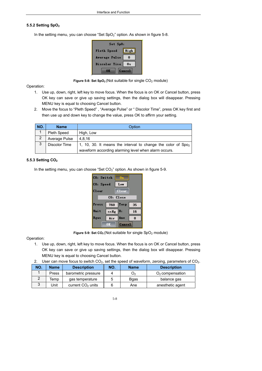### **5.5.2 Setting SpO2**

In the setting menu, you can choose "Set  $SpO<sub>2</sub>$ " option. As shown in figure 5-8.

| Set SpOz           |                       |  |
|--------------------|-----------------------|--|
| <b>Pleth Speed</b> | $\left  \right $ High |  |
| Average Pulse      |                       |  |
| Discolor Time      | <b>Os</b>             |  |
|                    |                       |  |

**Figure 5-8: Set SpO<sub>2</sub>** (Not suitable for single CO<sub>2</sub> module)

Operation:

- 1. Use up, down, right, left key to move focus. When the focus is on OK or Cancel button, press OK key can save or give up saving settings, then the dialog box will disappear. Pressing MENU key is equal to choosing Cancel button.
- 2. Move the focus to "Pleth Speed" , "Average Pulse" or " Discolor Time", press OK key first and then use up and down key to change the value, press OK to affirm your setting.

| NO.            | <b>Name</b>        | Option                                                         |
|----------------|--------------------|----------------------------------------------------------------|
|                | <b>Pleth Speed</b> | High, Low                                                      |
| $\overline{2}$ | Average Pulse      | 4.8.16                                                         |
| 3              | Discolor Time      | 1, 10, 30. It means the interval to change the color of $Spo2$ |
|                |                    | waveform according alarming level when alarm occurs.           |

# **5.5.3 Setting CO2**

In the setting menu, you can choose "Set  $CO<sub>2</sub>$ " option. As shown in figure 5-9.

| CO2 Switch<br>0n |                       |          |    |  |
|------------------|-----------------------|----------|----|--|
|                  | Low<br>CO: Speed      |          |    |  |
| <b>Clear</b>     | Clear                 |          |    |  |
|                  | CO <sub>2</sub> Close |          |    |  |
| Press            |                       | 760 Temp | 35 |  |
| Unit             | $mm$ $\mathbf{Hg}$    | <b>0</b> | 16 |  |
| Bgas             | Air.                  | Ane      | 0  |  |
| OΚ<br>Cancel     |                       |          |    |  |

**Figure 5-9: Set CO<sub>2</sub>** (Not suitable for single SpO<sub>2</sub> module)

Operation:

- 1. Use up, down, right, left key to move focus. When the focus is on OK or Cancel button, press OK key can save or give up saving settings, then the dialog box will disappear. Pressing MENU key is equal to choosing Cancel button.
- 2. User can move focus to switch  $CO<sub>2</sub>$ , set the speed of waveform, zeroing, parameters of  $CO<sub>2</sub>$ .

| NO. | <b>Name</b> | <b>Description</b>            | NO. | <b>Name</b>  | <b>Description</b> |
|-----|-------------|-------------------------------|-----|--------------|--------------------|
|     | Press       | barometric pressure           | 4   | Ő,           | $O2$ compensation  |
|     | Temp        | gas temperature               | Ð   | <b>B</b> qas | balance gas        |
| ◠   | Unit        | current CO <sub>2</sub> units |     | Ane          | anesthetic agent   |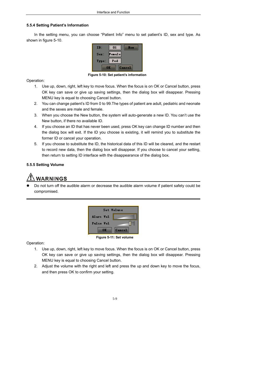### **5.5.4 Setting Patient's Information**

In the setting menu, you can choose "Patient Info" menu to set patient's ID, sex and type. As shown in figure 5-10.

| ID:   |                   |  |
|-------|-------------------|--|
| Sex:  | $\texttt{Female}$ |  |
| Type: | Ped               |  |
|       | <b>Cancel</b>     |  |

**Figure 5-10: Set patient's information**

Operation:

- 1. Use up, down, right, left key to move focus. When the focus is on OK or Cancel button, press OK key can save or give up saving settings, then the dialog box will disappear. Pressing MENU key is equal to choosing Cancel button.
- 2. You can change patient's ID from 0 to 99.The types of patient are adult, pediatric and neonate and the sexes are male and female.
- 3. When you choose the New button, the system will auto-generate a new ID. You can't use the New button, if there no available ID.
- 4. If you choose an ID that has never been used, press OK key can change ID number and then the dialog box will exit. If the ID you choose is existing, it will remind you to substitute the former ID or cancel your operation.
- 5. If you choose to substitute the ID, the historical data of this ID will be cleared, and the restart to record new data, then the dialog box will disappear. If you choose to cancel your setting, then return to setting ID interface with the disappearance of the dialog box.

#### **5.5.5 Setting Volume**

# **WARNINGS**

Do not turn off the audible alarm or decrease the audible alarm volume if patient safety could be compromised.



# Operation:

ı

- 1. Use up, down, right, left key to move focus. When the focus is on OK or Cancel button, press OK key can save or give up saving settings, then the dialog box will disappear. Pressing MENU key is equal to choosing Cancel button.
- 2. Adjust the volume with the right and left and press the up and down key to move the focus, and then press OK to confirm your setting.

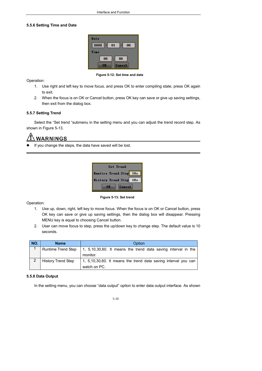#### **5.5.6 Setting Time and Date**



**Figure 5-12: Set time and date**

Operation:

- 1. Use right and left key to move focus, and press OK to enter compiling state, press OK again to exit.
- 2. When the focus is on OK or Cancel button, press OK key can save or give up saving settings, then exit from the dialog box.

### **5.5.7 Setting Trend**

Select the "Set trend "submenu in the setting menu and you can adjust the trend record step. As shown in Figure 5-13.



If you change the steps, the data have saved will be lost.



**Figure 5-13: Set trend** 

Operation:

l

- 1. Use up, down, right, left key to move focus. When the focus is on OK or Cancel button, press OK key can save or give up saving settings, then the dialog box will disappear. Pressing MENU key is equal to choosing Cancel button.
- 2. User can move focus to step, press the up/down key to change step. The default value is 10 seconds.

| NO. | <b>Name</b>               | Option                                                                                         |
|-----|---------------------------|------------------------------------------------------------------------------------------------|
|     |                           | Runtime Trend Step   1, 5,10,30,60. It means the trend data saving interval in the<br>monitor. |
| 2   | <b>History Trend Step</b> | 1, 5,10,30,60. It means the trend data saving interval you can<br>watch on PC.                 |

#### **5.5.8 Data Output**

In the setting menu, you can choose "data output" option to enter data output interface. As shown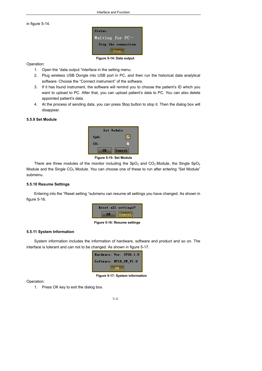in figure 5-14.

| Status                   |  |
|--------------------------|--|
|                          |  |
| <b>Waiting for PC…</b>   |  |
| Stop the connection      |  |
| Stop                     |  |
| Figure 5-14: Data output |  |

Operation:

- 1. Open the "data output "interface in the setting menu.
- 2. Plug wireless USB Dongle into USB port in PC, and then run the historical data analytical software. Choose the "Connect instrument" of the software.
- 3. If it has found instrument, the software will remind you to choose the patient's ID which you want to upload to PC. After that, you can upload patient's data to PC. You can also delete appointed patient's data.
- 4. At the process of sending data, you can press Stop button to stop it. Then the dialog box will disappear.

### **5.5.9 Set Module**



**Figure 5-15: Set Module** 

There are three modules of the monitor including the  $SpO<sub>2</sub>$  and  $CO<sub>2</sub>$  Module, the Single  $SpO<sub>2</sub>$ Module and the Single CO2 Module. You can choose one of these to run after entering "Set Module" submenu.

#### **5.5.10 Resume Settings**

Entering into the "Reset setting "submenu can resume all settings you have changed. As shown in figure 5-16.



**Figure 5-16: Resume settings** 

#### **5.5.11 System Information**

System information includes the information of hardware, software and product and so on. The interface is tolerant and can not to be changed. As shown in figure 5-17.



**Figure 5-17: System information**

Operation:

1. Press OK key to exit the dialog box.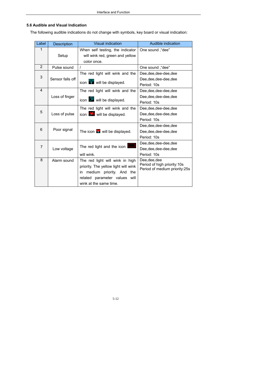# **5.6 Audible and Visual Indication**

The following audible indications do not change with symbols, key board or visual indication:

| Label          | <b>Description</b> | <b>Visual indication</b>                                                                                                                                                | Audible indication                                                             |
|----------------|--------------------|-------------------------------------------------------------------------------------------------------------------------------------------------------------------------|--------------------------------------------------------------------------------|
| 1              | Setup              | When self testing, the indicator<br>will wink red, green and yellow<br>color once.                                                                                      | One sound , "dee"                                                              |
| 2              | Pulse sound        | $\prime$                                                                                                                                                                | One sound , "dee"                                                              |
| 3              | Sensor falls off   | The red light will wink and the<br>icon <b>T</b> will be displayed.                                                                                                     | Dee, dee, dee-dee, dee<br>Dee, dee, dee-dee, dee<br>Period: 10s                |
| $\overline{4}$ | Loss of finger     | The red light will wink and the<br>icon $\bullet$ will be displayed.                                                                                                    | Dee, dee, dee-dee, dee<br>Dee, dee, dee-dee, dee<br>Period: 10s                |
| 5              | Loss of pulse      | The red light will wink and the<br>icon $\mathbb Z$ will be displayed.                                                                                                  | Dee, dee, dee-dee, dee<br>Dee, dee, dee-dee, dee<br>Period: 10s                |
| 6              | Poor signal        | The icon $\bullet$ will be displayed.                                                                                                                                   | Dee, dee, dee-dee, dee<br>Dee, dee, dee-dee, dee<br>Period: 10s                |
| $\overline{7}$ | Low voltage        | The red light and the icon $\Box$<br>will wink.                                                                                                                         | Dee, dee, dee-dee, dee<br>Dee, dee, dee-dee, dee<br>Period: 10s                |
| 8              | Alarm sound        | The red light will wink in high<br>priority. The yellow light will wink<br>medium priority. And<br>the<br>in<br>related parameter values will<br>wink at the same time. | Dee, dee, dee<br>Period of high priority: 10s<br>Period of medium priority:25s |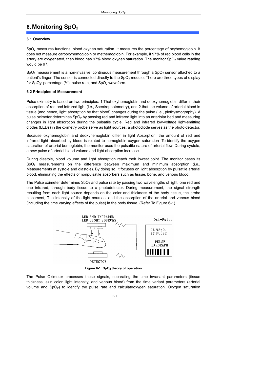# **6. Monitoring SpO**<sub>2</sub>

#### **6.1 Overview**

SpO2 measures functional blood oxygen saturation. It measures the percentage of oxyhemoglobin. It does not measure carboxyhemoglobin or methemoglobin. For example, if 97% of red blood cells in the artery are oxygenated, then blood has  $97\%$  blood oxygen saturation. The monitor  $SpO<sub>2</sub>$  value reading would be 97.

 $SpO<sub>2</sub>$  measurement is a non-invasive, continuous measurement through a  $SpO<sub>2</sub>$  sensor attached to a patient's finger. The sensor is connected directly to the  $SpO<sub>2</sub>$  module. There are three types of display for  $SpO<sub>2</sub>$ : percentage (%), pulse rate, and  $SpO<sub>2</sub>$  waveform.

#### **6.2 Principles of Measurement**

Pulse oximetry is based on two principles: 1.That oxyhemoglobin and deoxyhemoglobin differ in their absorption of red and infrared light (i.e., Spectrophotometry), and 2.that the volume of arterial blood in tissue (and hence, light absorption by that blood) changes during the pulse (i.e., plethysmography). A pulse oximeter determines  $SpO<sub>2</sub>$  by passing red and infrared light into an arteriolar bed and measuring changes in light absorption during the pulsatile cycle. Red and infrared low-voltage light-emitting diodes (LEDs) in the oximetry probe serve as light sources; a photodiode serves as the photo detector.

Because oxyhemoglobin and deoxyhemoglobin differ in light Absorption, the amount of red and infrared light absorbed by blood is related to hemoglobin oxygen saturation .To identify the oxygen saturation of arterial bemoglobin, the monitor uses the pulsatile nature of arterial flow. During systole, a new pulse of arterial blood volume and light absorption increase.

During diastole, blood volume and light absorption reach their lowest point .The monitor bases its SpO2 measurements on the difference between maximum and minimum absorption (i.e., Measurements at systole and diastole). By doing so, it focuses on light absorption by pulsatile arterial blood, eliminating the effects of nonpulsatile absorbers such as tissue, bone, and venous blood.

The Pulse oximeter determines  $SpO<sub>2</sub>$  and pulse rate by passing two wavelengths of light, one red and one infrared, through body tissue to a photodetector. During measurement, the signal strength resulting from each light source depends on the color and thickness of the body tissue, the probe placement, The intensity of the light sources, and the absorption of the arterial and venous blood (including the time varying effects of the pulse) in the body tissue. (Refer To Figure 6-1)



Figure 6-1: SpO<sub>2</sub> theory of operation

The Pulse Oximeter processes these signals, separating the time invariant parameters (tissue thickness, skin color, light intensity, and venous blood) from the time variant parameters (arterial volume and SpO2) to identify the pulse rate and calculateoxygen saturation. Oxygen saturation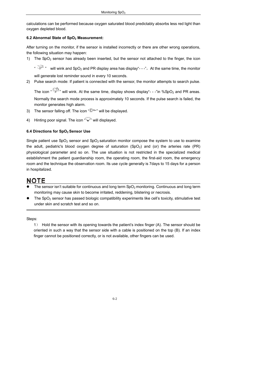calculations can be performed because oxygen saturated blood predictably absorbs less red light than oxygen depleted blood.

### **6.2 Abnormal State of SpO2 Measurement:**

After turning on the monitor, if the sensor is installed incorrectly or there are other wrong operations, the following situation may happen:

1) The SpO<sub>2</sub> sensor has already been inserted, but the sensor not attached to the finger, the icon

"  $\overline{\mathcal{P}}$ " will wink and SpO<sub>2</sub> and PR display area has display"- - -", At the same time, the monitor

will generate lost reminder sound in every 10 seconds.

2) Pulse search mode: If patient is connected with the sensor, the monitor attempts to search pulse.

The icon " $\langle\!\langle \rangle$ " will wink. At the same time, display shows display"- - -"in %SpO<sub>2</sub> and PR areas. Normally the search mode process is approximately 10 seconds. If the pulse search is failed, the monitor generates high alarm.

- 3) The sensor falling off. The icon " will be displayed.
- 4) Hinting poor signal. The icon " $\mathbb{Q}$ " will displayed.

#### **6.4 Directions for SpO<sub>2</sub> Sensor Use**

Single patient use  $SpO<sub>2</sub>$  sensor and  $SpO<sub>2</sub>$  saturation monitor compose the system to use to examine the adult, pediatric's blood oxygen degree of saturation (SpO<sub>2</sub>) and (or) the arteries rate (PR) physiological parameter and so on. The use situation is not restricted in the specialized medical establishment the patient guardianship room, the operating room, the first-aid room, the emergency room and the technique the observation room. Its use cycle generally is 7days to 15 days for a person in hospitalized.

# **NOTE**

- The sensor isn't suitable for continuous and long term  $SpO<sub>2</sub>$  monitoring. Continuous and long term monitoring may cause skin to become irritated, reddening, blistering or necrosis.
- The  $SpO<sub>2</sub>$  sensor has passed biologic compatibility experiments like cell's toxicity, stimulative test under skin and scratch test and so on.

Steps:

ı

1) Hold the sensor with its opening towards the patient's index finger (A). The sensor should be oriented in such a way that the sensor side with a cable is positioned on the top (B). If an index finger cannot be positioned correctly, or is not available, other fingers can be used.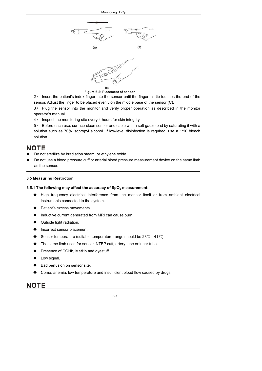

#### **Figure 6-2: Placement of sensor**

2) Insert the patient's index finger into the sensor until the fingernail tip touches the end of the sensor. Adjust the finger to be placed evenly on the middle base of the sensor (C).

3) Plug the sensor into the monitor and verify proper operation as described in the monitor operator's manual.

4) Inspect the monitoring site every 4 hours for skin integrity.

5) Before each use, surface-clean sensor and cable with a soft gauze pad by saturating it with a solution such as 70% isopropyl alcohol. If low-level disinfection is required, use a 1:10 bleach solution.

# **NOTE**

ı

- Do not sterilize by irradiation steam, or ethylene oxide.
- Do not use a blood pressure cuff or arterial blood pressure measurement device on the same limb as the sensor.

## **6.5 Measuring Restriction**

#### **6.5.1 The following may affect the accuracy of SpO<sub>2</sub> measurement:**

- High frequency electrical interference from the monitor itself or from ambient electrical instruments connected to the system.
- ◆ Patient's excess movements.
- $\triangle$  Inductive current generated from MRI can cause burn.
- ◆ Outside light radiation.
- ◆ Incorrect sensor placement.
- ◆ Sensor temperature (suitable temperature range should be 28°C 41°C)
- ◆ The same limb used for sensor, NTBP cuff, artery tube or inner tube.
- Presence of COHb, MetHb and dyestuff.
- ◆ Low signal.
- Bad perfusion on sensor site.
- ◆ Coma, anemia, low temperature and insufficient blood flow caused by drugs.

# **NOTE**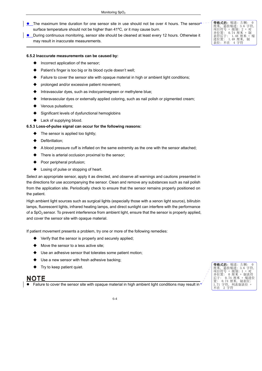- The maximum time duration for one sensor site in use should not be over 4 hours. The sensor surface temperature should not be higher than 41ºC, or it may cause burn.
- During continuous monitoring, sensor site should be cleaned at least every 12 hours. Otherwise it may result in inaccurate measurements. l

### **6.5.2 Inaccurate measurements can be caused by:**

- Incorrect application of the sensor;
- Patient's finger is too big or its blood cycle doesn't well;
- Failure to cover the sensor site with opaque material in high or ambient light conditions;
- prolonged and/or excessive patient movement;
- Intravascular dyes, such as indocyaninegreen or methylene blue;
- Interavascular dyes or externally applied coloring, such as nail polish or pigmented cream;
- Venous pulsations;
- Significant levels of dysfunctional hemoglobins
- Lack of supplying blood.

### **6.5.3 Loss-of-pulse signal can occur for the following reasons:**

- $\blacklozenge$  The sensor is applied too tightly;
- Defibrillation;
- $\blacktriangleright$  A blood pressure cuff is inflated on the same extremity as the one with the sensor attached;
- There is arterial occlusion proximal to the sensor;
- Poor peripheral profusion;
- Losing of pulse or stopping of heart.

Select an appropriate sensor, apply it as directed, and observe all warnings and cautions presented in the directions for use accompanying the sensor. Clean and remove any substances such as nail polish from the application site. Periodically check to ensure that the sensor remains properly positioned on the patient.

High ambient light sources such as surgical lights (especially those with a xenon light source), bilirubin lamps, fluorescent lights, infrared heating lamps, and direct sunlight can interfere with the performance of a SpO<sub>2</sub> sensor. To prevent interference from ambient light, ensure that the sensor is properly applied, and cover the sensor site with opaque material.

If patient movement presents a problem, try one or more of the following remedies:

- ◆ Verify that the sensor is properly and securely applied;
- $\blacklozenge$  Move the sensor to a less active site;
- Use an adhesive sensor that tolerates some patient motion;
- Use a new sensor with fresh adhesive backing;
- Try to keep patient quiet.

# **OTF**

Failure to cover the sensor site with opaque material in high ambient light conditions may result in

项目符号 + 级别: 1 + 对<br>齐位置: 0 厘米 + 制表 齐位置: 0 厘米<br>后于: 0.74 厘米

置: 0.74<br>1.71 字符 不在 2 字符

0.74 厘米, 制表<br>字符, 列表制表位

: + 缩进位<br>制表位: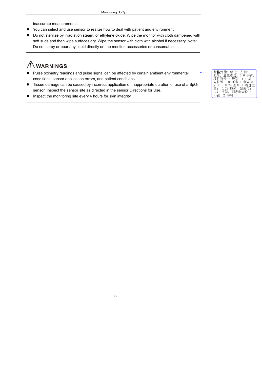inaccurate measurements.

- You can select and use sensor to realize how to deal with patient and environment.
- Do not sterilize by irradiation steam, or ethylene oxide. Wipe the monitor with cloth dampened with soft suds and then wipe surfaces dry. Wipe the sensor with cloth with alcohol if necessary. Note: Do not spray or pour any liquid directly on the monitor, accessories or consumables. l

# **WARNINGS**

- Pulse oximetry readings and pulse signal can be affected by certain ambient environmental conditions, sensor application errors, and patient conditions.
- $\bullet$  Tissue damage can be caused by incorrect application or inappropriate duration of use of a SpO<sub>2</sub> sensor. Inspect the sensor site as directed in the sensor Directions for Use.
- Inspect the monitoring site every 4 hours for skin integrity. ı



 $\blacktriangleleft$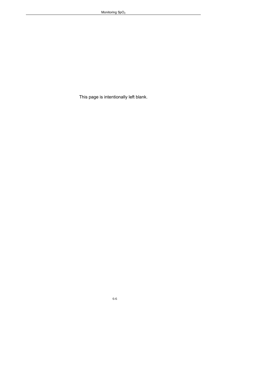This page is intentionally left blank.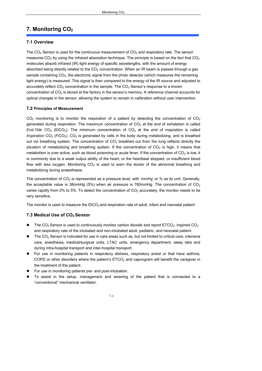# **7. Monitoring CO<sub>2</sub>**

### **7.1 Overview**

The  $CO<sub>2</sub>$  Sensor is used for the continuous measurement of  $CO<sub>2</sub>$  and respiratory rate. The sensor measures  $CO<sub>2</sub>$  by using the infrared absorption technique. The principle is based on the fact that  $CO<sub>2</sub>$ molecules absorb infrared (IR) light energy of specific wavelengths, with the amount of energy absorbed being directly related to the  $CO<sub>2</sub>$  concentration. When an IR beam is passed through a gas sample containing  $CO<sub>2</sub>$ , the electronic signal from the photo detector (which measures the remaining light energy) is measured. This signal is then compared to the energy of the IR source and adjusted to accurately reflect  $CO<sub>2</sub>$  concentration in the sample. The  $CO<sub>2</sub>$  Sensor's response to a known concentration of  $CO<sub>2</sub>$  is stored at the factory in the sensor's memory. A reference channel accounts for optical changes in the sensor, allowing the system to remain in calibration without user intervention.

### **7.2 Principles of Measurement**

 $CO<sub>2</sub>$  monitoring is to monitor the respiration of a patient by detecting the concentration of  $CO<sub>2</sub>$ generated during respiration. The maximum concentration of  $CO<sub>2</sub>$  at the end of exhalation is called *End-Tide*  $CO<sub>2</sub>$  (EtCO<sub>2</sub>). The minimum concentration of  $CO<sub>2</sub>$  at the end of inspiration is called *Inspiration* CO<sub>2</sub> (FiCO<sub>2</sub>). CO<sub>2</sub> is generated by cells in the body during metabolizing, and is breathed out via breathing system. The concentration of CO<sub>2</sub> breathed out from the lung reflects directly the situation of metabolizing and breathing system. If the concentration of  $CO<sub>2</sub>$  is high, it means that metabolism is over active, such as blood poisoning or acute fever. If the concentration of  $CO<sub>2</sub>$  is low, it is commonly due to a weak output ability of the heart, or the heartbeat stopped, or insufficient blood flow with less oxygen. Monitoring  $CO<sub>2</sub>$  is used to warn the doctor of the abnormal breathing and metabolizing during anaesthesia.

The concentration of  $CO<sub>2</sub>$  is represented as a pressure level, with 'mmHg' or % as its unit. Generally, the acceptable value is 38mmHg (5%) when air pressure is 760mmHg. The concentration of  $CO<sub>2</sub>$ varies rapidly from 0% to 5%. To detect the concentration of  $CO<sub>2</sub>$  accurately, the monitor needs to be very sensitive.

The monitor is used to measure the  $ECO<sub>2</sub>$  and respiration rate of adult, infant and neonatal patient

### **7.3 Medical Use of CO<sub>2</sub> Sensor**

- The CO<sub>2</sub> Sensor is used to continuously monitor carbon dioxide and report ETCO<sub>2</sub>, inspired CO<sub>2</sub> and respiratory rate of the intubated and non-intubated adult, pediatric, and neonatal patient.
- The  $CO<sub>2</sub>$  Sensor is indicated for use in care areas such as, but not limited to critical care, intensive care, anesthesia, medical/surgical units, LTAC units, emergency department, sleep labs and during intra-hospital transport and inter-hospital transport.
- For use in monitoring patients in respiratory distress, respiratory arrest or that have asthma, COPD or other disorders where the patient's  $ETCO<sub>2</sub>$  and capnogram will benefit the caregiver in the treatment of the patient.
- For use in monitoring patients pre- and post-intubation.
- To assist in the setup, management and weaning of the patient that is connected to a "conventional" mechanical ventilator.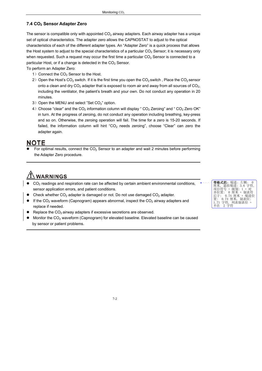# **7.4 CO2 Sensor Adapter Zero**

The sensor is compatible only with appointed  $CO<sub>2</sub>$  airway adapters. Each airway adapter has a unique set of optical characteristics. The adapter zero allows the CAPNOSTAT to adjust to the optical characteristics of each of the different adapter types. An "Adapter Zero" is a quick process that allows the Host system to adjust to the special characteristics of a particular  $CO<sub>2</sub>$  Sensor; it is necessary only when requested. Such a request may occur the first time a particular  $CO<sub>2</sub>$  Sensor is connected to a particular Host, or if a change is detected in the  $CO<sub>2</sub>$  Sensor.

To perform an Adapter Zero:

- 1) Connect the  $CO<sub>2</sub>$  Sensor to the Host.
- 2) Open the Host's CO<sub>2</sub> switch. If it is the first time you open the CO<sub>2</sub> switch, Place the CO<sub>2</sub> sensor onto a clean and dry  $CO<sub>2</sub>$  adapter that is exposed to room air and away from all sources of  $CO<sub>2</sub>$ , including the ventilator, the patient's breath and your own. Do not conduct any operation in 20 minutes.
- 3) Open the MENU and select "Set CO<sub>2</sub>" option.
- 4) Choose "clear" and the  $CO<sub>2</sub>$  information column will display "  $CO<sub>2</sub>$  Zeroing" and "  $CO<sub>2</sub>$  Zero OK" in turn. At the progress of zeroing, do not conduct any operation including breathing, key-press and so on. Otherwise, the zeroing operation will fail. The time for a zero is 15-20 seconds. If failed, the information column will hint " $CO<sub>2</sub>$  needs zeroing", choose "Clear" can zero the adapter again.

# **NOTE**

l

l

For optimal results, connect the  $CO<sub>2</sub>$  Sensor to an adapter and wait 2 minutes before performing the Adapter Zero procedure.

# **WARNINGS**

- CO<sub>2</sub> readings and respiration rate can be affected by certain ambient environmental conditions, sensor application errors, and patient conditions.
- Check whether  $CO<sub>2</sub>$  adapter is damaged or not. Do not use damaged  $CO<sub>2</sub>$  adapter.
- If the  $CO<sub>2</sub>$  waveform (Capnogram) appears abnormal, inspect the  $CO<sub>2</sub>$  airway adapters and replace if needed.
- Replace the  $CO<sub>2</sub>$  airway adapters if excessive secretions are observed.
- Monitor the  $CO<sub>2</sub>$  waveform (Capnogram) for elevated baseline. Elevated baseline can be caused by sensor or patient problems.

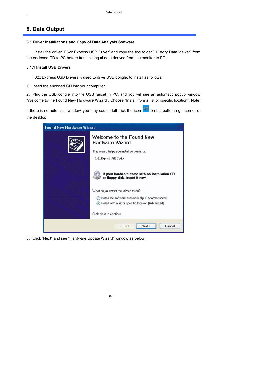# **8. Data Output**

### **8.1 Driver Installations and Copy of Data Analysis Software**

Install the driver "F32x Express USB Driver" and copy the tool folder " History Data Viewer" from the enclosed CD to PC before transmitting of data derived from the monitor to PC.

### **8.1.1 Install USB Drivers**

F32x Express USB Drivers is used to drive USB dongle, to install as follows:

1) Insert the enclosed CD into your computer.

2) Plug the USB dongle into the USB faucet in PC, and you will see an automatic popup window "Welcome to the Found New Hardware Wizard". Choose "Install from a list or specific location". Note:

If there is no automatic window, you may double left click the icon  $\frac{1}{2}$  on the bottom right corner of the desktop.

| <b>Found New Hardware Wizard</b> |                                                                                                          |  |
|----------------------------------|----------------------------------------------------------------------------------------------------------|--|
|                                  | Welcome to the Found New<br>Hardware Wizard                                                              |  |
|                                  | This wizard helps you install software for:                                                              |  |
|                                  | F32x Express USB Device                                                                                  |  |
|                                  | If your hardware came with an installation CD<br>or floppy disk, insert it now.                          |  |
|                                  | What do you want the wizard to do?                                                                       |  |
|                                  | Sinstall the software automatically (Recommended)<br>Install from a list or specific location [Advanced] |  |
|                                  | Click Next to continue.                                                                                  |  |
|                                  | Cancel<br>Next ><br>< Back                                                                               |  |

3)Click "Next" and see "Hardware Update Wizard" window as below.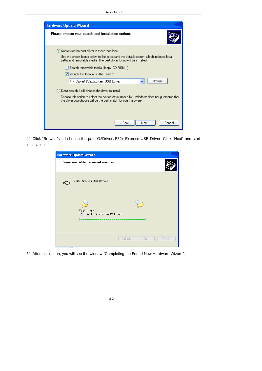Data Output

| <b>Hardware Update Wizard</b>                                                                                                                                  |
|----------------------------------------------------------------------------------------------------------------------------------------------------------------|
| Please choose your search and installation options.                                                                                                            |
| ● Search for the best driver in these locations.                                                                                                               |
| Use the check boxes below to limit or expand the default search, which includes local<br>paths and removable media. The best driver found will be installed.   |
| Search removable media (floppy, CD-ROM)                                                                                                                        |
| $\vee$ Include this location in the search:                                                                                                                    |
| <b>Browse</b><br>F:\ Driver\F32x Express USB Driver<br>v                                                                                                       |
| Don't search. I will choose the driver to install.                                                                                                             |
| Choose this option to select the device driver from a list. Windows does not quarantee that<br>the driver you choose will be the best match for your hardware. |
|                                                                                                                                                                |
| < Back<br>Next<br>Cancel                                                                                                                                       |

4) Click "Browse" and choose the path G:\Driver\ F32x Express USB Driver. Click "Next" and start installation.

| <b>Hardware Update Wizard</b>                                                          |                 |
|----------------------------------------------------------------------------------------|-----------------|
| Please wait while the wizard searches                                                  |                 |
| F32x Express USB Device<br><del>∕∼</del>                                               |                 |
| UygLib. sys<br>To C:\WINDOWS\System32\Drivers<br>,,,,,,,,,,,,,,,,,,,,,,,,,,,,,,<br>--- |                 |
| $\triangle$ Back                                                                       | Cancel<br>Next> |

5)After installation, you will see the window "Completing the Found New Hardware Wizard".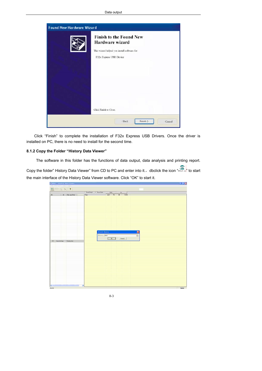| <b>Found New Hardware Wizard</b> | <b>Finish to the Found New</b><br>Hardware wizard<br>This wizard helped you install software for:<br>F32x Express USB Device |
|----------------------------------|------------------------------------------------------------------------------------------------------------------------------|
|                                  | Click Finish to Close.                                                                                                       |
|                                  | Finish ><br>-Back<br>Cancel                                                                                                  |

Click "Finish" to complete the installation of F32x Express USB Drivers. Once the driver is installed on PC, there is no need to install for the second time.

### **8.1.2 Copy the Folder "History Data Viewer"**

**CO** 

The software in this folder has the functions of data output, data analysis and printing report.

Copy the folder" History Data Viewer" from CD to PC and enter into it., dbclick the icon " " " to start the main interface of the History Data Viewer software. Click "OK" to start it.

|                        | SMID - history data viewer |                           |       |       |     |                  | $-68$         |
|------------------------|----------------------------|---------------------------|-------|-------|-----|------------------|---------------|
| <b>TA TOTAL VIE 10</b> |                            |                           |       |       |     |                  |               |
| 图GRXT                  |                            |                           |       |       |     |                  |               |
|                        |                            | C. Rend Gugh G. Tead Tale | Print |       | Set |                  |               |
| NO.                    | D Favous (Byte)            | Time                      |       |       |     | 2,02 PR RR RVC02 |               |
|                        |                            |                           |       |       |     |                  |               |
|                        |                            |                           |       |       |     |                  |               |
|                        |                            |                           |       |       |     |                  |               |
|                        |                            |                           |       |       |     |                  |               |
|                        |                            |                           |       |       |     |                  |               |
|                        |                            |                           |       |       |     |                  |               |
|                        |                            |                           |       |       |     |                  |               |
|                        |                            |                           |       |       |     |                  |               |
|                        |                            |                           |       |       |     |                  |               |
|                        |                            |                           |       |       |     |                  |               |
|                        |                            | Select Device             |       |       |     |                  |               |
|                        |                            | $brins.$ [art             |       |       |     |                  | $\frac{1}{2}$ |
|                        |                            |                           |       | $x =$ |     | Cancel           |               |
| ID Period of time      | <b>Disting time</b>        |                           |       |       |     |                  |               |
|                        |                            |                           |       |       |     |                  |               |
|                        |                            |                           |       |       |     |                  |               |
|                        |                            |                           |       |       |     |                  |               |
|                        |                            |                           |       |       |     |                  |               |
|                        |                            |                           |       |       |     |                  |               |
|                        |                            |                           |       |       |     |                  |               |
|                        |                            |                           |       |       |     |                  |               |
|                        |                            |                           |       |       |     |                  |               |
|                        |                            |                           |       |       |     |                  |               |
|                        |                            |                           |       |       |     |                  |               |
|                        |                            |                           |       |       |     |                  |               |
|                        |                            |                           |       |       |     |                  |               |
| k.                     | $\rightarrow$<br>ar        |                           |       |       |     |                  |               |
|                        |                            |                           |       |       |     |                  |               |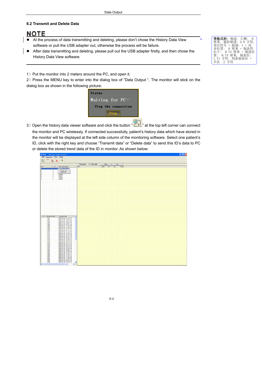### **8.2 Transmit and Delete Data**

# **NOTE**

 $\overline{a}$ 

- At the process of data transmitting and deleting, please don't chose the History Data View software or pull the USB adapter out, otherwise the process will be failure.
- After data transmitting and deleting, please pull out the USB adapter firstly, and then chose the History Data View software.

1) Put the monitor into 2 meters around the PC, and open it.

2) Press the MENU key to enter into the dialog box of "Data Output ". The monitor will stick on the dialog box as shown in the following picture:



3) Open the history data viewer software and click the button " [ ] at the top left corner can connect the monitor and PC wirelessly. If connected successfully, patient's history data which have stored in the monitor will be displayed at the left side column of the monitoring software. Select one patient's ID, click with the right key and choose "Transmit data" or "Delete data" to send this ID's data to PC or delete the stored trend data of the ID in monitor. As shown below:

| File Function View Help                                              |                                            |                          |               |           |                 |       |  |
|----------------------------------------------------------------------|--------------------------------------------|--------------------------|---------------|-----------|-----------------|-------|--|
| 图 B X *                                                              |                                            |                          |               |           |                 |       |  |
|                                                                      |                                            | C Trend graph            | F Trech table | Print     | 50 <sup>2</sup> |       |  |
| $\overline{0}$                                                       | Fie's stre (Dyte)                          | Time                     |               |           | 13              | EtCO2 |  |
|                                                                      | <b>ASSAULTS</b>                            |                          |               | $5p02$ TR |                 |       |  |
| п                                                                    | Transtprt file                             |                          |               |           |                 |       |  |
| z<br>3                                                               | Delete file                                |                          |               |           |                 |       |  |
| ٠                                                                    |                                            |                          |               |           |                 |       |  |
| š                                                                    | 204894                                     |                          |               |           |                 |       |  |
| ×                                                                    | 54109                                      |                          |               |           |                 |       |  |
|                                                                      | 110440                                     |                          |               |           |                 |       |  |
| è                                                                    | 200752                                     |                          |               |           |                 |       |  |
|                                                                      |                                            |                          |               |           |                 |       |  |
|                                                                      |                                            |                          |               |           |                 |       |  |
|                                                                      |                                            |                          |               |           |                 |       |  |
|                                                                      |                                            |                          |               |           |                 |       |  |
|                                                                      |                                            |                          |               |           |                 |       |  |
|                                                                      |                                            |                          |               |           |                 |       |  |
|                                                                      |                                            |                          |               |           |                 |       |  |
|                                                                      |                                            |                          |               |           |                 |       |  |
|                                                                      |                                            |                          |               |           |                 |       |  |
|                                                                      |                                            |                          |               |           |                 |       |  |
|                                                                      |                                            |                          |               |           |                 |       |  |
|                                                                      |                                            |                          |               |           |                 |       |  |
|                                                                      |                                            |                          |               |           |                 |       |  |
|                                                                      |                                            |                          |               |           |                 |       |  |
|                                                                      |                                            |                          |               |           |                 |       |  |
|                                                                      |                                            |                          |               |           |                 |       |  |
|                                                                      |                                            |                          |               |           |                 |       |  |
|                                                                      |                                            |                          |               |           |                 |       |  |
|                                                                      |                                            |                          |               |           |                 |       |  |
|                                                                      |                                            |                          |               |           |                 |       |  |
|                                                                      |                                            |                          |               |           |                 |       |  |
|                                                                      |                                            |                          |               |           |                 |       |  |
|                                                                      |                                            |                          |               |           |                 |       |  |
| Period of time                                                       | Starting time                              | $\overline{\phantom{a}}$ |               |           |                 |       |  |
| 1001                                                                 | 2000-02-03 21:18:27                        |                          |               |           |                 |       |  |
| 1002                                                                 | 2000-01-01 00:00:26                        |                          |               |           |                 |       |  |
| 1003                                                                 | 2000-01-01 00:18:22                        |                          |               |           |                 |       |  |
| 1004                                                                 | 2000-01-01 00:50:43                        |                          |               |           |                 |       |  |
|                                                                      | 2000-01-01 00:51:49                        |                          |               |           |                 |       |  |
|                                                                      | 2000-01-01 01:08:05<br>2000-01-01 01:08:27 |                          |               |           |                 |       |  |
| $\begin{array}{r} 1005 \\ 1006 \\ 1007 \\ 1008 \end{array}$          | 2000-01-01 01:09 22                        |                          |               |           |                 |       |  |
| 1009                                                                 | 2000-01-01 01:11:23                        |                          |               |           |                 |       |  |
| 1010                                                                 | 2000-01-01 01:16:53                        |                          |               |           |                 |       |  |
| 1011                                                                 |                                            |                          |               |           |                 |       |  |
| 1012                                                                 | 2000-01-01 01:46:10<br>2000-01-01 01:47:54 |                          |               |           |                 |       |  |
| 1013                                                                 |                                            |                          |               |           |                 |       |  |
| 1014                                                                 | 2000-01-01 02 15 33<br>2000-01-01 02 26 01 |                          |               |           |                 |       |  |
| 1015                                                                 | 2000-01-01 02:26:23                        |                          |               |           |                 |       |  |
| 1016                                                                 | 2000-01-01 00:23 03                        |                          |               |           |                 |       |  |
| 1017                                                                 | 2000-01-01 01:17:57                        |                          |               |           |                 |       |  |
| 1010                                                                 | 2000-01-01 02:19:42                        |                          |               |           |                 |       |  |
| 1019                                                                 | 2000-01-01 02:19:53                        |                          |               |           |                 |       |  |
|                                                                      | 2000-01-01 02:24:34                        |                          |               |           |                 |       |  |
|                                                                      | 2000-01-01 02:52:00<br>2000-01-01 03:52:11 |                          |               |           |                 |       |  |
|                                                                      | 2000-01-01 07:03:50                        |                          |               |           |                 |       |  |
|                                                                      | 2000-01-01 07:32:14                        |                          |               |           |                 |       |  |
|                                                                      | 2000-01-01 21:43:11                        |                          |               |           |                 |       |  |
|                                                                      | 2000-01-01 21 43 41                        |                          |               |           |                 |       |  |
|                                                                      |                                            |                          |               |           |                 |       |  |
|                                                                      | 2000-01-01 21:45:45<br>2000-01-01 21:48:53 |                          |               |           |                 |       |  |
| 1020<br>1021<br>1022<br>1023<br>1025<br>1025<br>1029<br>1029<br>1030 | 2000-01-02 02:54:46<br>2000-01-02 03:36:51 | ×                        |               |           |                 |       |  |

| 带格式的:缩进:左侧: 0     |
|-------------------|
| 厘米, 悬挂缩进: 3.6 字符, |
| 项目符号 + 级别:1 + 对   |
| 齐位置: 0 厘米 + 制表符   |
| 后于: 0.74 厘米 + 缩讲位 |
| 置: 0.74 厘米,制表位:   |
| 1.71 字符, 列表制表位 +  |
| 不在 2字符            |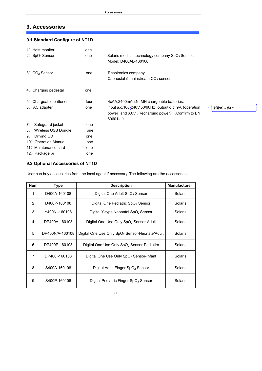# **9. Accessories**

# **9.1 Standard Configure of NT1D**

|    | 1) Host monitor              | one  |                                                                   |
|----|------------------------------|------|-------------------------------------------------------------------|
|    | $2)$ SpO <sub>2</sub> Sensor | one  | Solaris medical technology company SpO <sub>2</sub> Sensor,       |
|    |                              |      | Model: D400AL-160108.                                             |
|    |                              |      |                                                                   |
|    | $3) CO2$ Sensor              | one  | Respironics company                                               |
|    |                              |      | Capnostat 5 mainstream $CO2$ sensor                               |
|    |                              |      |                                                                   |
|    | 4) Charging pedestal         | one  |                                                                   |
|    |                              |      |                                                                   |
|    | 5) Chargeable batteries      | four | 4xAA,2400mAh, Ni-MH chargeable batteries.                         |
|    | 6) AC adapter                | one  | Input a.c.100-240V,50/60Hz, output d.c. 9V, (operation<br>删除的内容:~ |
|    |                              |      | power) and 6.0V (Recharging power). (Confirm to EN                |
|    |                              |      |                                                                   |
|    |                              |      | $60601 - 1$                                                       |
| 7) | Safeguard jacket             | one  |                                                                   |
| 8) | Wireless USB Dongle          | one  |                                                                   |
| 9) | Driving CD                   | one  |                                                                   |
| 10 | <b>Operation Manual</b>      | one  |                                                                   |
|    | 11) Maintenance card         | one  |                                                                   |
|    | 12) Package bill             | one  |                                                                   |

# **9.2 Optional Accessories of NT1D**

User can buy accessories from the local agent if necessary. The following are the accessories:

| <b>Num</b> | Type            | <b>Description</b>                                         | <b>Manufacturer</b> |
|------------|-----------------|------------------------------------------------------------|---------------------|
| 1          | D400A-160108    | Digital One Adult SpO <sub>2</sub> Sensor                  | Solaris             |
| 2          | D400P-160108    | Digital One Pediatric SpO <sub>2</sub> Sensor              | Solaris             |
| 3          | Y400N-160108    | Digital Y-type Neonatal SpO <sub>2</sub> Sensor            | Solaris             |
| 4          | DP400A-160108   | Digital One Use Only SpO <sub>2</sub> Sensor-Adult         | Solaris             |
| 5          | DP400N/A-160108 | Digital One Use Only SpO <sub>2</sub> Sensor-Neonate/Adult | Solaris             |
| 6          | DP400P-160108   | Digital One Use Only SpO <sub>2</sub> Sensor-Pediatirc     | Solaris             |
| 7          | DP400I-160108   | Digital One Use Only SpO <sub>2</sub> Sensor-Infant        | Solaris             |
| 8          | S400A-160108    | Digital Adult Finger SpO <sub>2</sub> Sensor               | Solaris             |
| 9          | S400P-160108    | Digital Pediatric Finger SpO <sub>2</sub> Sensor           | Solaris             |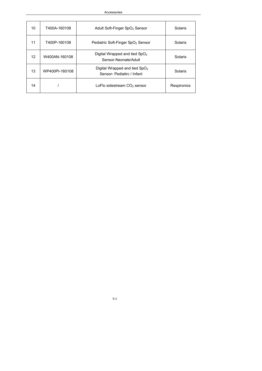| 10 | T400A-160108   | Adult Soft-Finger SpO <sub>2</sub> Sensor                    | Solaris     |
|----|----------------|--------------------------------------------------------------|-------------|
| 11 | T400P-160108   | Pediatric Soft-Finger SpO <sub>2</sub> Sensor                | Solaris     |
| 12 | W400AN-160108  | Digital Wrapped and tied $SpO2$<br>Sensor-Neonate/Adult      | Solaris     |
| 13 | WP400PI-160108 | Digital Wrapped and tied $SpO2$<br>Sensor-Pediatirc / Infant | Solaris     |
| 14 |                | LoFlo sidestream CO <sub>2</sub> sensor                      | Respironics |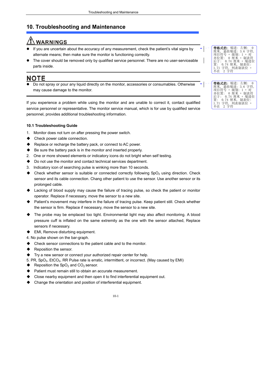# **10. Troubleshooting and Maintenance**

# **WARNINGS**

- If you are uncertain about the accuracy of any measurement, check the patient's vital signs by alternate means; then make sure the monitor is functioning correctly.
- The cover should be removed only by qualified service personnel. There are no user-serviceable parts inside.

# **NOTE**

ı

ı

Do not spray or pour any liquid directly on the monitor, accessories or consumables. Otherwise may cause damage to the monitor.

If you experience a problem while using the monitor and are unable to correct it, contact qualified service personnel or representative. The monitor service manual, which is for use by qualified service personnel, provides additional troubleshooting information.

# **10.1 Troubleshooting Guide**

- 1. Monitor does not turn on after pressing the power switch.
- ◆ Check power cable connection.
- ◆ Replace or recharge the battery pack, or connect to AC power.
- ◆ Be sure the battery pack is in the monitor and inserted properly.
- 2. One or more showed elements or indicatory icons do not bright when self testing.
- ◆ Do not use the monitor and contact technical services department.
- 3. Indicatory icon of searching pulse is winking more than 10 seconds.
- Check whether sensor is suitable or connected correctly following  $SpO<sub>2</sub>$  using direction. Check sensor and its cable connection. Chang other patient to use the sensor. Use another sensor or its prolonged cable.
- Lacking of blood supply may cause the failure of tracing pulse, so check the patient or monitor operator. Replace if necessary, move the sensor to a new site.
- Patient's movement may interfere in the failure of tracing pulse. Keep patient still. Check whether the sensor is firm. Replace if necessary, move the sensor to a new site.
- The probe may be emplaced too tight. Environmental light may also affect monitoring. A blood pressure cuff is inflated on the same extremity as the one with the sensor attached, Replace sensors if necessary.
- EMI, Remove disturbing equipment.
- 4. No pulse shown on the bar-graph.
- ◆ Check sensor connections to the patient cable and to the monitor.
- Reposition the sensor.
- Try a new sensor or connect your authorized repair center for help.
- 5. PR, SpO<sub>2</sub>, EtCO<sub>2</sub>, RR Pulse rate is erratic, intermittent, or incorrect. (May caused by EMI)
- $\blacklozenge$  Reposition the SpO<sub>2</sub> and CO<sub>2</sub> sensor.
- Patient must remain still to obtain an accurate measurement.
- Close nearby equipment and then open it to find interferential equipment out.
- ◆ Change the orientation and position of interferential equipment.

| 带格式的:缩进:左侧: 0     |
|-------------------|
| 厘米, 悬挂缩进: 3.6 字符, |
| 项目符号 + 级别: 1 + 对  |
| 齐位置: 0 厘米 + 制表符   |
| 后于: 0.74 厘米 + 缩讲位 |
| 置: 0.74 厘米, 制表位:  |
| 1.71 字符, 列表制表位 +  |
| 不在 2字符            |

| <b>带格式的:</b> 缩进:左侧: 0 |
|-----------------------|
| 厘米, 悬挂缩进: 3.6 字符,     |
| 项目符号 + 级别:1 + 对       |
| 齐位置: 0 厘米 + 制表符       |
| 后于: 0.74 厘米 + 缩讲位     |
| 置: 0.74 厘米,制表位:       |
| 1.71 字符,列表制表位 +       |
| 不在 2字符                |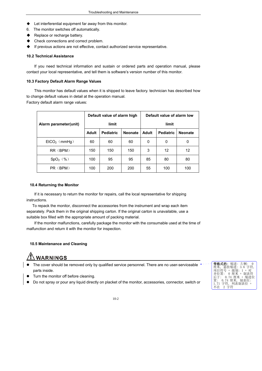- ♦ Let interferential equipment far away from this monitor.
- 6. The monitor switches off automatically.
- Replace or recharge battery.
- ◆ Check connections and correct problem.
- If previous actions are not effective, contact authorized service representative.

#### **10.2 Technical Assistance**

If you need technical information and sustain or ordered parts and operation manual, please contact your local representative, and tell them is software's version number of this monitor.

#### **10.3 Factory Default Alarm Range Values**

This monitor has default values when it is shipped to leave factory. technician has described how to change default values in detail at the operation manual. Factory default alarm range values:

|                       | Default value of alarm high |                  |                | Default value of alarm low |                  |                |
|-----------------------|-----------------------------|------------------|----------------|----------------------------|------------------|----------------|
| Alarm parameter(unit) | limit                       |                  |                | limit                      |                  |                |
|                       | <b>Adult</b>                | <b>Pediatric</b> | <b>Neonate</b> | Adult                      | <b>Pediatric</b> | <b>Neonate</b> |
| $EtCO2$ (mmHq)        | 60                          | 60               | 60             | 0                          | 0                | 0              |
| RR (BPM)              | 150                         | 150              | 150            | 3                          | 12               | 12             |
| $SpO2(\%)$            | 100                         | 95               | 95             | 85                         | 80               | 80             |
| PR (BPM)              | 100                         | 200              | 200            | 55                         | 100              | 100            |

#### **10.4 Returning the Monitor**

 If it is necessary to return the monitor for repairs, call the local representative for shipping instructions.

To repack the monitor, disconnect the accessories from the instrument and wrap each item separately. Pack them in the original shipping carton. If the original carton is unavailable, use a suitable box filled with the appropriate amount of packing material.

If the monitor malfunctions, carefully package the monitor with the consumable used at the time of malfunction and return it with the monitor for inspection.

### **10.5 Maintenance and Cleaning**

# **WARNINGS**

- The cover should be removed only by qualified service personnel. There are no user-serviceable parts inside.
- Turn the monitor off before cleaning.
- Do not spray or pour any liquid directly on placket of the monitor, accessories, connector, switch or

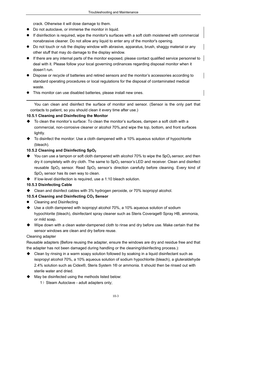crack. Otherwise it will dose damage to them.

- Do not autoclave, or immerse the monitor in liquid.
- If disinfection is required, wipe the monitor's surfaces with a soft cloth moistened with commercial nonabrasive cleaner. Do not allow any liquid to enter any of the monitor's opening.
- Do not touch or rub the display window with abrasive, apparatus, brush, shaggy material or any other stuff that may do damage to the display window.
- If there are any internal parts of the monitor exposed, please contact qualified service personnel to deal with it. Please follow your local governing ordinances regarding disposal monitor when it dosen't run.
- Dispose or recycle of batteries and retired sensors and the monitor's accessories according to standard operating procedures or local regulations for the disposal of contaminated medical waste.
- This monitor can use disabled batteries, please install new ones.

You can clean and disinfect the surface of monitor and sensor. (Sensor is the only part that contacts to patient, so you should clean it every time after use.)

### **10.5.1 Cleaning and Disinfecting the Monitor**

- To clean the monitor's surface: To clean the monitor's surfaces, dampen a soft cloth with a commercial, non-corrosive cleaner or alcohol 70%,and wipe the top, bottom, and front surfaces lightly.
- ◆ To disinfect the monitor: Use a cloth dampened with a 10% aqueous solution of hypochlorite (bleach).

# **10.5.2 Cleaning and Disinfecting SpO2**

- You can use a tampon or soft cloth dampened with alcohol 70% to wipe the SpO<sub>2</sub> sensor, and then dry it completely with dry cloth. The same to  $SpO<sub>2</sub>$  sensor's LED and receiver. Clean and disinfect reusable SpO<sub>2</sub> sensor. Read SpO<sub>2</sub> sensor's direction carefully before cleaning. Every kind of  $SpO<sub>2</sub>$  sensor has its own way to clean.
- If low-level disinfection is required, use a 1:10 bleach solution.
- **10.5.3 Disinfecting Cable**

l

Clean and disinfect cables with 3% hydrogen peroxide, or 70% isopropyl alcohol.

### **10.5.4 Cleaning and Disinfecting CO<sub>2</sub> Sensor**

- Cleaning and Disinfecting
- Use a cloth dampened with isopropyl alcohol 70%, a 10% aqueous solution of sodium hypochlorite (bleach), disinfectant spray cleaner such as Steris Coverage® Spray HB, ammonia, or mild soap.
- Wipe down with a clean water-dampened cloth to rinse and dry before use. Make certain that the sensor windows are clean and dry before reuse.

### Cleaning adapter

Reusable adapters (Before reusing the adapter, ensure the windows are dry and residue free and that the adapter has not been damaged during handling or the cleaning/disinfecting process.):

- Clean by rinsing in a warm soapy solution followed by soaking in a liquid disinfectant such as isopropyl alcohol 70%, a 10% aqueous solution of sodium hypochlorite (bleach), a gluteraldehyde 2.4% solution such as Cidex®, Steris System 1® or ammonia. It should then be rinsed out with sterile water and dried.
- May be disinfected using the methods listed below:
	- 1) Steam Autoclave adult adapters only;

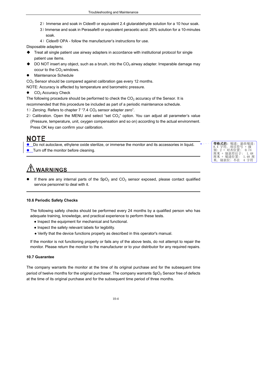- 2) Immerse and soak in Cidex® or equivalent 2.4 glutaraldehyde solution for a 10 hour soak.
- 3)Immerse and soak in Perasafe® or equivalent peracetic acid. 26% solution for a 10-minutes soak.
- 4) Cidex® OPA follow the manufacturer's instructions for use.

Disposable adapters:

- Treat all single patient use airway adapters in accordance with institutional protocol for single patient use items.
- DO NOT insert any object, such as a brush, into the  $CO<sub>2</sub>$  airway adapter. Irreparable damage may occur to the  $CO<sub>2</sub>$  windows.
- Maintenance Schedule
- CO<sub>2</sub> Sensor should be compared against calibration gas every 12 months.

NOTE: Accuracy is affected by temperature and barometric pressure.

CO<sub>2</sub> Accuracy Check

The following procedure should be performed to check the  $CO<sub>2</sub>$  accuracy of the Sensor. It is recommended that this procedure be included as part of a periodic maintenance schedule.

- 1) Zeroing. Refers to chapter  $7$  "7.4  $CO<sub>2</sub>$  sensor adapter zero".
- 2) Calibration. Open the MENU and select "set CO<sub>2</sub>" option. You can adjust all parameter's value (Pressure, temperature, unit, oxygen compensation and so on) according to the actual environment. Press OK key can confirm your calibration.

# NOTE

ı

ı

- z Do not autoclave, ethylene oxide sterilize, or immerse the monitor and its accessories in liquid**.**
- Turn off the monitor before cleaning.

# **WARNINGS**

If there are any internal parts of the  $SpO<sub>2</sub>$  and  $CO<sub>2</sub>$  sensor exposed, please contact qualified service personnel to deal with it.

### **10.6 Periodic Safety Checks**

The following safety checks should be performed every 24 months by a qualified person who has adequate training, knowledge, and practical experience to perform these tests.

- Inspect the equipment for mechanical and functional.
- Inspect the safety relevant labels for legibility.
- Verify that the device functions properly as described in this operator's manual.

If the monitor is not functioning properly or fails any of the above tests, do not attempt to repair the monitor. Please return the monitor to the manufacturer or to your distributor for any required repairs.

### **10.7 Guarantee**

The company warrants the monitor at the time of its original purchase and for the subsequent time period of twelve months for the original purchaser. The company warrants SpO<sub>2</sub> Sensor free of defects at the time of its original purchase and for the subsequent time period of three months.



| 带格式的: 缩讲: 悬挂缩讲:      |
|----------------------|
| 8.4 字符,项目符号 + 级      |
| 别: 2 + 对齐位置: 0.74    |
| 厘米 + 制表符后于: 1.48     |
| 厘米 + 缩讲位置:<br>1.48 厘 |
| 4 字符<br>米,制表位:不在     |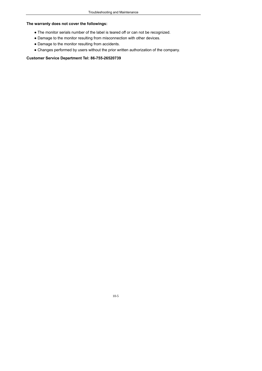# **The warranty does not cover the followings:**

- **●** The monitor serials number of the label is teared off or can not be recognized.
- Damage to the monitor resulting from misconnection with other devices.
- Damage to the monitor resulting from accidents.
- Changes performed by users without the prior written authorization of the company.

### **Customer Service Department Tel: 86-755-26520739**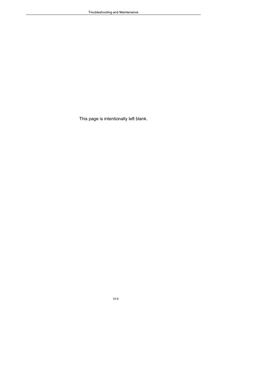This page is intentionally left blank.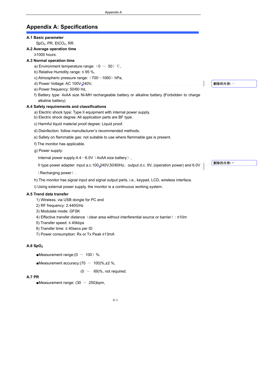# **Appendix A: Specifications**

### **A.1 Basic parameter**

 $SpO<sub>2</sub>$ , PR, EtCO<sub>2</sub>, RR.

### **A.2 Average operation time**

≥1000 hours.

### **A.3 Normal operation time**

- a) Environment temperature range:  $(0 ~ 50)$  °C,
- b) Relative Humidity range: ≤ 95 %,
- c) Atmospheric pressure range:  $(700~1060)$  hPa,
- d) Power Voltage: AC 100V-240V,
- e) Power frequency: 50/60 Hz,
- f) Battery type: 4xAA size Ni-MH rechargeable battery or alkaline battery **(**Forbidden to charge alkaline battery).

### **A.4 Safety requirements and classifications**

- a) Electric shock type: Type II equipment with internal power supply.
- b) Electric shock degree: All application parts are BF type.
- c) Harmful liquid material proof degree: Liquid proof.
- d) Disinfection: follow manufacturer's recommended methods.
- e) Safety on flammable gas: not suitable to use where flammable gas is present.
- f) The monitor has applicable.
- g) Power supply:

Internal power supply:  $4.4 \sim 6.0V$  (4xAA size battery),

II type power adapter: input a.c.100-240V,50/60Hz, output d.c. 9V, (operation power) and 6.0V

(Recharging power).

h) The monitor has signal input and signal output parts, i.e., keypad, LCD, wireless interface.

i) Using external power supply, the monitor is a continuous working system.

#### **A.5 Trend data transfer**

- 1) Wireless, via USB dongle for PC end
- 2) RF frequency: 2.440GHz
- 3) Modulate mode: GFSK
- 4) Effective transfer distance (clear area without interferential source or barrier) : ≤10m
- 5) Transfer speed: ≤ 40kbps
- 6) Transfer time: ≤ 40secs per ID
- 7) Power consumption: Rx or Tx Peak ≤13mA

## **A.6 SpO2**

■Measurement range: $(0 \sim 100)$  %.

■Measurement accuracy: $(70 \sim 100)$ %, $±2$  %,

 $(0 \sim 69)$ %, not required.

### **A.7 PR**

■Measurement range:  $(30 \sim 250)$ bpm,

删除的内容**:** ~

删除的内容**:** ~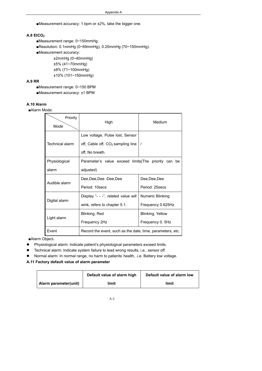■Measurement accuracy: 1 bpm or ±2%, take the bigger one.

# **A.8 EtCO2**

- ■Measurement range: 0~150mmHg.
- ■Resolution: 0.1mmHg (0~69mmHg), 0.25mmHg (70~150mmHg).
- ■Measurement accuracy:

```
±2mmHg (0~40mmHg) 
±5% (41~70mmHg) 
±8% (71~100mmHg) 
±10% (101~150mmHg)
```
## **A.9 RR**

■Measurement range: 0~150 BPM ■Measurement accuracy: ±1 BPM

# **A.10 Alarm**

■Alarm Mode:

| Priority<br>Mode       | High                                                       | Medium            |  |
|------------------------|------------------------------------------------------------|-------------------|--|
|                        | Low voltage, Pulse lost, Sensor                            |                   |  |
| <b>Technical alarm</b> | off, Cable off, $CO2$ sampling line                        | $\prime$          |  |
|                        | off, No breath.                                            |                   |  |
| Physiological          | Parameter's value exceed limits (The priority can be       |                   |  |
| alarm                  | adjusted)                                                  |                   |  |
|                        | Dee, Dee, Dee - Dee, Dee                                   | Dee, Dee, Dee     |  |
| Audible alarm          | Period: 10 secs                                            | Period: 25 secs   |  |
|                        | Display "- - -", related value will                        | Numeric Blinking  |  |
| Digital alarm          | wink, refers to chapter 5.1.                               | Frequency 0.625Hz |  |
| Light alarm            | Blinking, Red<br>Blinking, Yellow                          |                   |  |
|                        | Frequency 2Hz                                              | Frequency 0. 5Hz  |  |
| Event                  | Record the event, such as the date, time, parameters, etc. |                   |  |

■Alarm Object:

- Physiological alarm: Indicate patient's physiological parameters exceed limits.
- Technical alarm: Indicate system failure to lead wrong results, i.e., sensor off.
- Normal alarm: In normal range, no harm to patients' health, .i.e. Battery low voltage.

**A.11 Factory default value of alarm parameter** 

|                       | Default value of alarm high | Default value of alarm low |
|-----------------------|-----------------------------|----------------------------|
| Alarm parameter(unit) | limit                       | limit                      |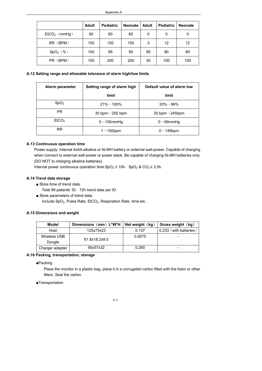|                | <b>Adult</b> | <b>Pediatric</b> | <b>Neonate</b> | Adult | <b>Pediatric</b> | <b>Neonate</b> |
|----------------|--------------|------------------|----------------|-------|------------------|----------------|
| $EtCO2$ (mmHg) | 60           | 60               | 60             | 0     | 0                | 0              |
| RR (BPM)       | 150          | 150              | 150            | 3     | 12               | 12             |
| $SpO2(\%)$     | 100          | 95               | 95             | 85    | 80               | 80             |
| PR (BPM)       | 100          | 200              | 200            | 55    | 100              | 100            |

#### **A.12 Setting range and allowable tolerance of alarm high/low limits**

| Alarm parameter   | Setting range of alarm high | Default value of alarm low |
|-------------------|-----------------------------|----------------------------|
|                   | limit                       | limit                      |
| SpO <sub>2</sub>  | $21\% \sim 100\%$           | $20\% \sim 99\%$           |
| PR.               | 35 bpm $\sim$ 250 bpm       | 30 bpm $\sim$ 245bpm       |
| EtCO <sub>2</sub> | $5 \sim$ 100mmHq            | $0\sim$ 99mmHq             |
| <b>RR</b>         | $1 \sim 150$ bpm            | $0 \sim 149$ bpm           |

### **A.13 Continuous operation time**

Power supply: Internal 4xAA alkaline or Ni-MH battery or external wall-power. Capable of charging when connect to external wall-power or power stack. Be capable of charging Ni-MH batteries only. (DO NOT to charging alkaline batteries).

Internal power continuous operation time:SpO<sub>2</sub>  $\geq$  10h, SpO<sub>2</sub> & CO<sub>2</sub>  $\geq$  3.5h.

### **A.14 Trend data storage**

- Store time of trend data:
	- Total 99 patients' ID, 72h trend data per ID
- Store parameters of trend data:

Include SpO<sub>2</sub>, Pulse Rate, EtCO<sub>2</sub>, Respiration Rate, time etc.

### **A.15 Dimensions and weight**

| Model           | Dimensions (mm) L*W*H | Net weight $(kq)$ | Gross weight (kg)      |
|-----------------|-----------------------|-------------------|------------------------|
| Host            | 125x73x23             | 0.137             | 0.233 (with batteries) |
| Wireless USB    | 61.8x18.2x9.0         | 0.0075            | -                      |
| Dongle          |                       |                   |                        |
| Charger adapter | 95x57x32              | 0.260             | -                      |

# **A.16 Packing, transportation, storage**

### ■Packing

Place the monitor in a plastic bag, place it in a corrugated carton filled with the foam or other fillers. Seal the carton.

■Transportation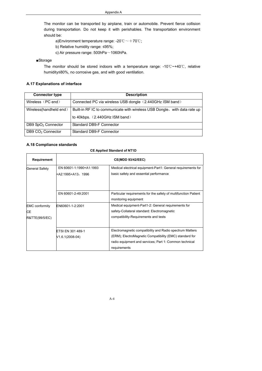The monitor can be transported by airplane, train or automobile. Prevent fierce collision during transportation. Do not keep it with perishables. The transportation environment should be:

a)Environment temperature range: -20℃~+70℃;

- b) Relative humidity range: ≤95%;
- c) Air pressure range: 500hPa~1060hPa.

■Storage

The monitor should be stored indoors with a temperature range: -10  $\degree$  ~+40 $\degree$ C, relative humidity≤80%, no corrosive gas, and with good ventilation.

### **A.17 Explanations of interface**

| <b>Connector type</b>          | <b>Description</b>                                                        |
|--------------------------------|---------------------------------------------------------------------------|
| Wireless (PC end)              | Connected PC via wireless USB dongle (2.440GHz ISM band)                  |
| Wireless (handheld end)        | Built-in RF IC to communicate with wireless USB Dongle, with data rate up |
|                                | to 40kbps. (2.440GHz ISM band)                                            |
| DB9 SpO <sub>2</sub> Connector | Standard DB9-F Connector                                                  |
| DB9 CO <sub>2</sub> Connector  | Standard DB9-F Connector                                                  |

#### **A.18 Compliance standards**

**CE Applied Standard of NT1D** 

| Requirement                                   |                                               | <b>CE(MDD 93/42/EEC)</b>                                                                                                                                                                      |
|-----------------------------------------------|-----------------------------------------------|-----------------------------------------------------------------------------------------------------------------------------------------------------------------------------------------------|
| General Safety                                | EN 60601-1:1990+A1:1993<br>+A2:1995+A13: 1996 | Medical electrical equipment-Part1: General requirements for<br>basic safety and essential performance                                                                                        |
|                                               | EN 60601-2-49:2001                            | Particular requirements for the safety of multifunction Patient<br>monitoring equipment                                                                                                       |
| <b>EMC</b> conformity<br>CЕ<br>R&TTE(99/5/EC) | EN60601-1-2:2001                              | Medical equipment-Part1-2: General requirements for<br>safety-Collateral standard: Electromagnetic<br>compatibility-Requirements and tests                                                    |
|                                               | ETSI EN 301 489-1<br>V1.6.1(2008-04)          | Electromagnetic compatibility and Radio spectrum Matters<br>(ERM); ElectroMagnetic Compatibility (EMC) standard for<br>radio equipment and services; Part 1: Common technical<br>requirements |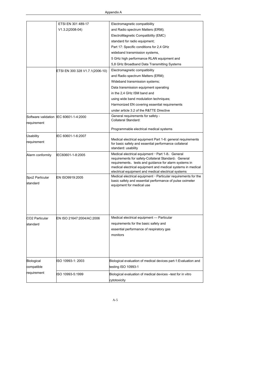|                  | ETSI EN 301 489-17                     | Electromagnetic compatibility                                                                                                                                                                                                                                                         |
|------------------|----------------------------------------|---------------------------------------------------------------------------------------------------------------------------------------------------------------------------------------------------------------------------------------------------------------------------------------|
|                  | V1.3.2(2008-04)                        | and Radio spectrum Matters (ERM);                                                                                                                                                                                                                                                     |
|                  |                                        | ElectroMagnetic Compatibility (EMC)                                                                                                                                                                                                                                                   |
|                  |                                        | standard for radio equipment;                                                                                                                                                                                                                                                         |
|                  |                                        | Part 17: Specific conditions for 2,4 GHz                                                                                                                                                                                                                                              |
|                  |                                        | wideband transmission systems,                                                                                                                                                                                                                                                        |
|                  |                                        | 5 GHz high performance RLAN equipment and                                                                                                                                                                                                                                             |
|                  |                                        | 5,8 GHz Broadband Data Transmitting Systems                                                                                                                                                                                                                                           |
|                  | ETSI EN 300 328 V1.7.1(2006-10)        | Electromagnetic compatibility                                                                                                                                                                                                                                                         |
|                  |                                        | and Radio spectrum Matters (ERM);                                                                                                                                                                                                                                                     |
|                  |                                        | Wideband transmission systems;                                                                                                                                                                                                                                                        |
|                  |                                        | Data transmission equipment operating                                                                                                                                                                                                                                                 |
|                  |                                        | in the 2,4 GHz ISM band and                                                                                                                                                                                                                                                           |
|                  |                                        | using wide band modulation techniques;                                                                                                                                                                                                                                                |
|                  |                                        | Harmonized EN covering essential requirements                                                                                                                                                                                                                                         |
|                  |                                        | under article 3.2 of the R&TTE Directive                                                                                                                                                                                                                                              |
|                  | Software validation IEC 60601-1-4:2000 | General requirements for safety -                                                                                                                                                                                                                                                     |
| requirement      |                                        | Collateral Standard:                                                                                                                                                                                                                                                                  |
|                  |                                        | Programmable electrical medical systems                                                                                                                                                                                                                                               |
| <b>Usability</b> | IEC 60601-1-6:2007                     |                                                                                                                                                                                                                                                                                       |
| requirement      |                                        | Medical electrical equipment Part 1-6: general requirements<br>for basic safety and essential performance collateral                                                                                                                                                                  |
|                  |                                        | standard: usability                                                                                                                                                                                                                                                                   |
| Alarm conformity | IEC60601-1-8:2005                      | Medical electrical equipment-Part 1-8: General<br>requirements for safety-Collateral Standard: General<br>requirements, tests and guidance for alarm systems in<br>medical electrical equipment and medical systems in medical<br>electrical equipment and medical electrical systems |
| Spo2 Particular  | EN ISO9919:2005                        | Medical electrical equipment-Particular requirements for the                                                                                                                                                                                                                          |
| standard         |                                        | basic safety and essential performance of pulse oximeter                                                                                                                                                                                                                              |
|                  |                                        | equipment for medical use                                                                                                                                                                                                                                                             |
|                  |                                        |                                                                                                                                                                                                                                                                                       |
|                  |                                        |                                                                                                                                                                                                                                                                                       |
|                  |                                        |                                                                                                                                                                                                                                                                                       |
|                  |                                        |                                                                                                                                                                                                                                                                                       |
| CO2 Particular   | EN ISO 21647:2004/AC:2006              | Medical electrical equipment - Particular                                                                                                                                                                                                                                             |
| standard         |                                        | requirements for the basic safety and                                                                                                                                                                                                                                                 |
|                  |                                        | essential performance of respiratory gas                                                                                                                                                                                                                                              |
|                  |                                        | monitors                                                                                                                                                                                                                                                                              |
|                  |                                        |                                                                                                                                                                                                                                                                                       |
|                  |                                        |                                                                                                                                                                                                                                                                                       |
|                  |                                        |                                                                                                                                                                                                                                                                                       |
|                  |                                        |                                                                                                                                                                                                                                                                                       |
| Biological       | ISO 10993-1: 2003                      | Biological evaluation of medical devices part-1: Evaluation and                                                                                                                                                                                                                       |
| compatible       |                                        | testing ISO 10993-1                                                                                                                                                                                                                                                                   |
| requirement      | ISO 10993-5:1999                       | Biological evaluation of medical devices - test for in vitro                                                                                                                                                                                                                          |
|                  |                                        | cytotoxicity                                                                                                                                                                                                                                                                          |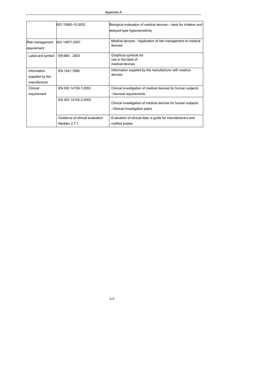|                                                | ISO 10993-10:2002                               | Biological evaluation of medical devices – tests for irritation and<br>delayed-type hypersensitivity |
|------------------------------------------------|-------------------------------------------------|------------------------------------------------------------------------------------------------------|
| Risk management<br>requirement                 | ISO 14971:2007                                  | Medical devices - Application of risk management to medical<br>devices                               |
| Label and symbol                               | EN:980: 2003                                    | Graphical symbols for<br>use in the label of<br>medical devices                                      |
| Information<br>supplied by the<br>manufacturer | EN 1041:1998                                    | Information supplied by the manufacturer with medical<br>devices                                     |
| Clinical<br>requirement                        | EN ISO 14155-1:2003                             | Clinical investigation of medical devices for human subjects<br>-General requirements                |
|                                                | EN ISO 14155-2:2003                             | Clinical investigation of medical devices for human subjects<br>-Clinical investigation plans        |
|                                                | Guidance of clinical evaluation<br>Meddev 2.7.1 | Evaluation of clinical data: a guide for manufacturers and<br>notified bodies                        |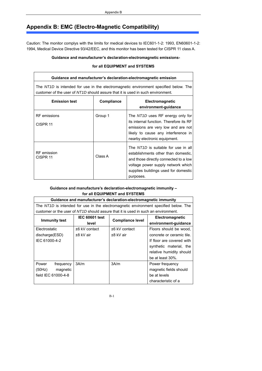# **Appendix B: EMC (Electro-Magnetic Compatibility)**

Caution: The monitor complys with the limits for medical devices to IEC601-1-2: 1993, EN60601-1-2: 1994, Medical Device Directive 93/42/EEC, and this monitor has been tested for CISPR 11 class A.

### **Guidance and manufacturer's declaration-electromagnetic emissions-**

# **for all EQUIPMENT and SYSTEMS**

| Guidance and manufacturer's declaration-electromagnetic emission                                                                                                        |            |                                                                                                                                                                                                                |  |
|-------------------------------------------------------------------------------------------------------------------------------------------------------------------------|------------|----------------------------------------------------------------------------------------------------------------------------------------------------------------------------------------------------------------|--|
| The NT1D is intended for use in the electromagnetic environment specified below. The<br>customer of the user of NT1D should assure that it is used in such environment. |            |                                                                                                                                                                                                                |  |
| <b>Emission test</b>                                                                                                                                                    | Compliance | <b>Electromagnetic</b><br>environment-guidance                                                                                                                                                                 |  |
| RF emissions<br>CISPR <sub>11</sub>                                                                                                                                     | Group 1    | The NT1D uses RF energy only for<br>its internal function. Therefore its RF<br>emissions are very low and are not<br>likely to cause any interference in<br>nearby electronic equipment.                       |  |
| RF emission<br>CISPR 11                                                                                                                                                 | Class A    | The NT1D is suitable for use in all<br>establishments other than domestic.<br>and those directly connected to a low<br>voltage power supply network which<br>supplies buildings used for domestic<br>purposes. |  |

# **Guidance and manufacture's declaration-electromagnetic immunity – for all EQUIPMENT and SYSTEMS**

| Guidance and manufacturer's declaration-electromagnetic immunity                     |                       |                         |                           |
|--------------------------------------------------------------------------------------|-----------------------|-------------------------|---------------------------|
| The NT1D is intended for use in the electromagnetic environment specified below. The |                       |                         |                           |
| customer or the user of NT1D should assure that it is used in such an environment.   |                       |                         |                           |
|                                                                                      | <b>IEC 60601 test</b> | <b>Compliance level</b> | Electromagnetic           |
| <b>Immunity test</b>                                                                 | level                 |                         | environment-quidance      |
| Electrostatic                                                                        | ±6 kV contact         | ±6 kV contact           | Floors should be wood.    |
| discharge(ESD)                                                                       | ±8 kV air             | ±8 kV air               | concrete or ceramic tile. |
| IEC 61000-4-2                                                                        |                       |                         | If floor are covered with |
|                                                                                      |                       |                         | synthetic material, the   |
|                                                                                      |                       |                         | relative humidity should  |
|                                                                                      |                       |                         | be at least 30%.          |
| Power<br>frequency                                                                   | 3A/m                  | 3A/m                    | Power frequency           |
| (50Hz)<br>magnetic                                                                   |                       |                         | magnetic fields should    |
| field IEC 61000-4-8                                                                  |                       |                         | be at levels              |
|                                                                                      |                       |                         | characteristic of a       |

B-1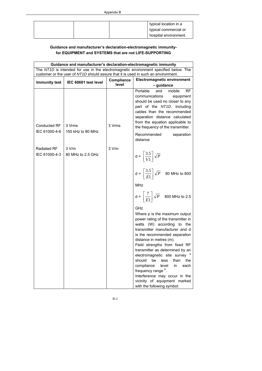|  | typical location in a |
|--|-----------------------|
|  | typical commercial or |
|  | hospital environment. |

# **Guidance and manufacturer's declaration-electromagnetic immunityfor EQUIPMENT and SYSTEMS that are not LIFE-SUPPORTING**

| Guidance and manufacturer's declaration-electromagnetic immunity                   |                      |                     |                                                                                                                                                                                                                                                                                                                                                                                                                                                                                                                         |
|------------------------------------------------------------------------------------|----------------------|---------------------|-------------------------------------------------------------------------------------------------------------------------------------------------------------------------------------------------------------------------------------------------------------------------------------------------------------------------------------------------------------------------------------------------------------------------------------------------------------------------------------------------------------------------|
|                                                                                    |                      |                     | The NT1D is intended for use in the electromagnetic environment specified below. The                                                                                                                                                                                                                                                                                                                                                                                                                                    |
| customer or the user of NT1D should assure that it is used in such an environment. |                      |                     | <b>Electromagnetic environment</b>                                                                                                                                                                                                                                                                                                                                                                                                                                                                                      |
| <b>Immunity test</b>                                                               | IEC 60601 test level | Compliance<br>level | - guidance                                                                                                                                                                                                                                                                                                                                                                                                                                                                                                              |
|                                                                                    |                      |                     | <b>RF</b><br>Portable<br>and<br>mobile<br>communications<br>equipment<br>should be used no closer to any<br>part of the NT1D. Including<br>cables than the recommended<br>separation distance calculated<br>from the equation applicable to                                                                                                                                                                                                                                                                             |
| <b>Conducted RF</b>                                                                | 3 Vrms               | 3 Vrms              | the frequency of the transmitter.                                                                                                                                                                                                                                                                                                                                                                                                                                                                                       |
| IEC 61000-4-6                                                                      | 150 kHz to 80 MHz    |                     | Recommended<br>separation<br>distance                                                                                                                                                                                                                                                                                                                                                                                                                                                                                   |
| <b>Radiated RF</b>                                                                 | 3 V/m                | 3 V/m               |                                                                                                                                                                                                                                                                                                                                                                                                                                                                                                                         |
| IEC 61000-4-3                                                                      | 80 MHz to 2.5 GHz    |                     | $d = \left[\frac{3.5}{V1}\right] \sqrt{P}$                                                                                                                                                                                                                                                                                                                                                                                                                                                                              |
|                                                                                    |                      |                     | $d = \left[\frac{3.5}{E1}\right]\sqrt{P}$ 80 MHz to 800                                                                                                                                                                                                                                                                                                                                                                                                                                                                 |
|                                                                                    |                      |                     | <b>MHz</b>                                                                                                                                                                                                                                                                                                                                                                                                                                                                                                              |
|                                                                                    |                      |                     | $d = \left[\frac{7}{E1}\right]\sqrt{P}$ 800 MHz to 2.5                                                                                                                                                                                                                                                                                                                                                                                                                                                                  |
|                                                                                    |                      |                     | GHz<br>Where p is the maximum output<br>power rating of the transmitter in<br>watts (W) according to the<br>transmitter manufacturer and d<br>is the recommended separation<br>distance in metres (m).<br>Field strengths from fixed RF<br>transmitter as determined by an<br>electromagnetic site survey <sup>a</sup><br>should<br>be<br>less<br>than<br>the<br>compliance<br>level<br>in<br>each<br>frequency range b.<br>Interference may occur in the<br>vicinity of equipment marked<br>with the following symbol: |

B-2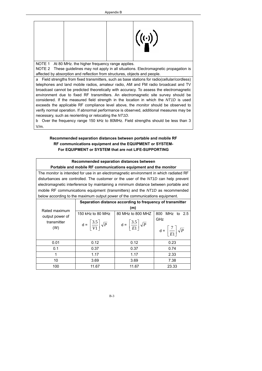|  | $\bigl  \bigl( (\underline{\cdot} ) \bigr) \bigr $ |
|--|----------------------------------------------------|
|  |                                                    |

NOTE 1 At 80 MHz. the higher frequency range applies.

NOTE 2 These guidelines may not apply in all situations. Electromagnetic propagation is affected by absorption and reflection from structures, objects and people.

a Field strengths from fixed transmitters, such as base stations for radio(cellular/cordless) telephones and land mobile radios, amateur radio, AM and FM radio broadcast and TV broadcast cannot be predicted theoretically with accuracy. To assess the electromagnetic environment due to fixed RF transmitters. An electromagnetic site survey should be considered. If the measured field strength in the location in which the *NT1D* is used exceeds the applicable RF compliance level above, the *monitor* should be observed to verify normal operation. If abnormal performance is observed, additional measures may be necessary, such as reorienting or relocating the *NT1D*.

b Over the frequency range 150 kHz to 80MHz. Field strengths should be less than 3 V/m.

# **Recommended separation distances between portable and mobile RF RF communications equipment and the EQUIPMENT or SYSTEM-For EQUIPMENT or SYSTEM that are not LIFE-SUPPORTING**

| Recommended separation distances between                                      |                                                                                        |                                              |                                         |  |  |
|-------------------------------------------------------------------------------|----------------------------------------------------------------------------------------|----------------------------------------------|-----------------------------------------|--|--|
| Portable and mobile RF communications equipment and the <i>monitor</i>        |                                                                                        |                                              |                                         |  |  |
|                                                                               | The monitor is intended for use in an electromagnetic environment in which radiated RF |                                              |                                         |  |  |
|                                                                               | disturbances are controlled. The customer or the user of the NT1D can help prevent     |                                              |                                         |  |  |
|                                                                               | electromagnetic interference by maintaining a minimum distance between portable and    |                                              |                                         |  |  |
| mobile RF communications equipment (transmitters) and the NT1D as recommended |                                                                                        |                                              |                                         |  |  |
| below according to the maximum output power of the communications equipment.  |                                                                                        |                                              |                                         |  |  |
| Separation distance according to frequency of transmitter                     |                                                                                        |                                              |                                         |  |  |
|                                                                               | (m)                                                                                    |                                              |                                         |  |  |
| Rated maximum                                                                 | 150 kHz to 80 MHz                                                                      | 80 MHz to 800 MHZ                            | MHz to $2.5$<br>800                     |  |  |
| output power of<br>transmitter                                                |                                                                                        |                                              | GHz                                     |  |  |
| (W)                                                                           | $d = \left  \frac{3.5}{V1} \right  \sqrt{P}$                                           | $d = \left  \frac{3.5}{F1} \right  \sqrt{P}$ |                                         |  |  |
|                                                                               |                                                                                        |                                              | $d = \left[\frac{7}{E1}\right]\sqrt{P}$ |  |  |
|                                                                               |                                                                                        |                                              |                                         |  |  |
| 0.01                                                                          | 0.12                                                                                   | 0.12                                         | 0.23                                    |  |  |
| 0.1                                                                           | 0.37                                                                                   | 0.37                                         | 0.74                                    |  |  |
| 1                                                                             | 1.17                                                                                   | 1.17                                         | 2.33                                    |  |  |
| 10                                                                            | 3.69                                                                                   | 3.69                                         | 7.38                                    |  |  |
| 100                                                                           | 11.67                                                                                  | 11.67                                        | 23.33                                   |  |  |

B-3